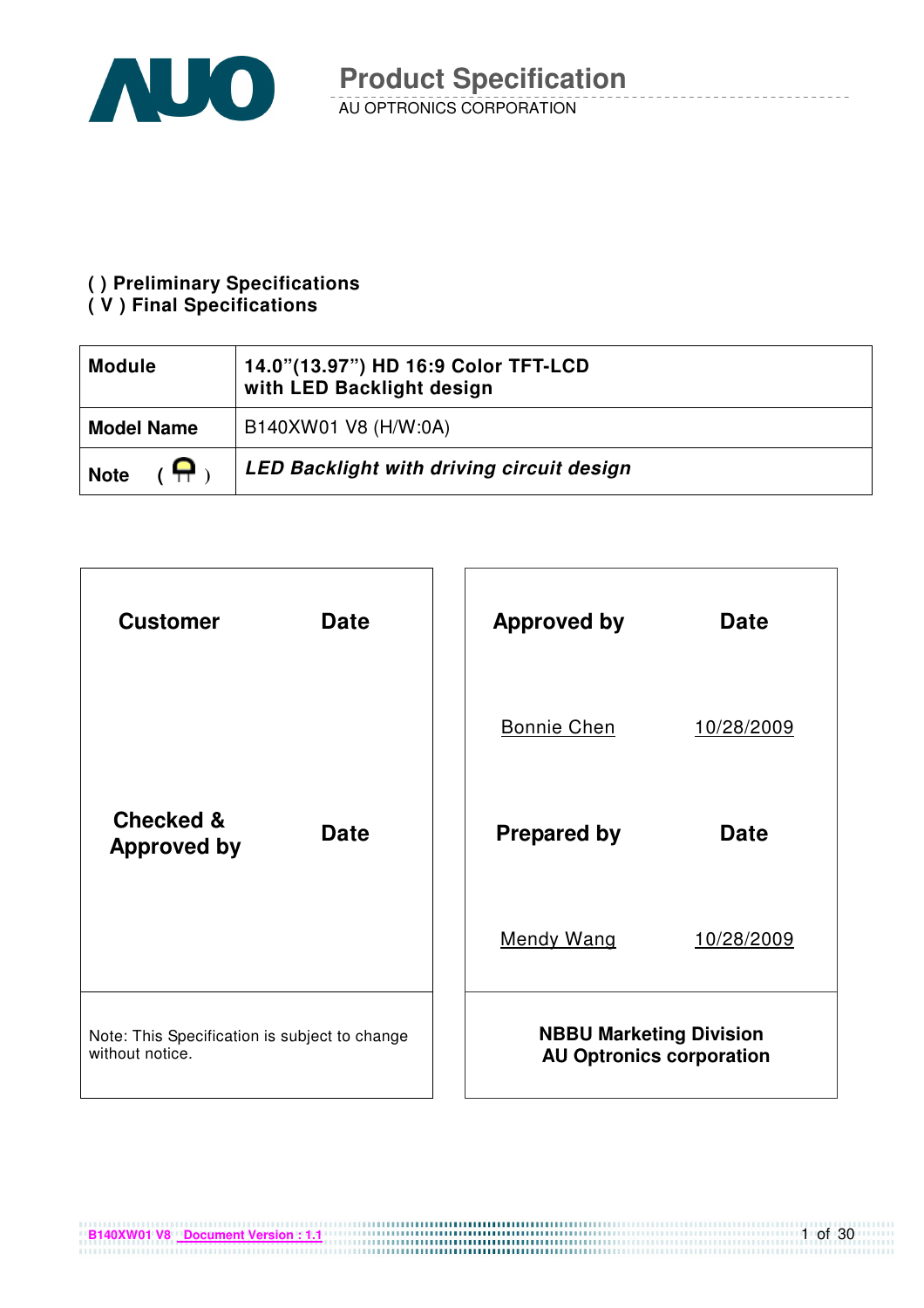

#### **( ) Preliminary Specifications**

#### **( V ) Final Specifications**

| <b>Module</b>             | 14.0"(13.97") HD 16:9 Color TFT-LCD<br>with LED Backlight design |
|---------------------------|------------------------------------------------------------------|
| <b>Model Name</b>         | B140XW01 V8 (H/W:0A)                                             |
| $\epsilon$<br><b>Note</b> | LED Backlight with driving circuit design                        |



**B140XW01 V8** Document Version : 1.1

1 of 30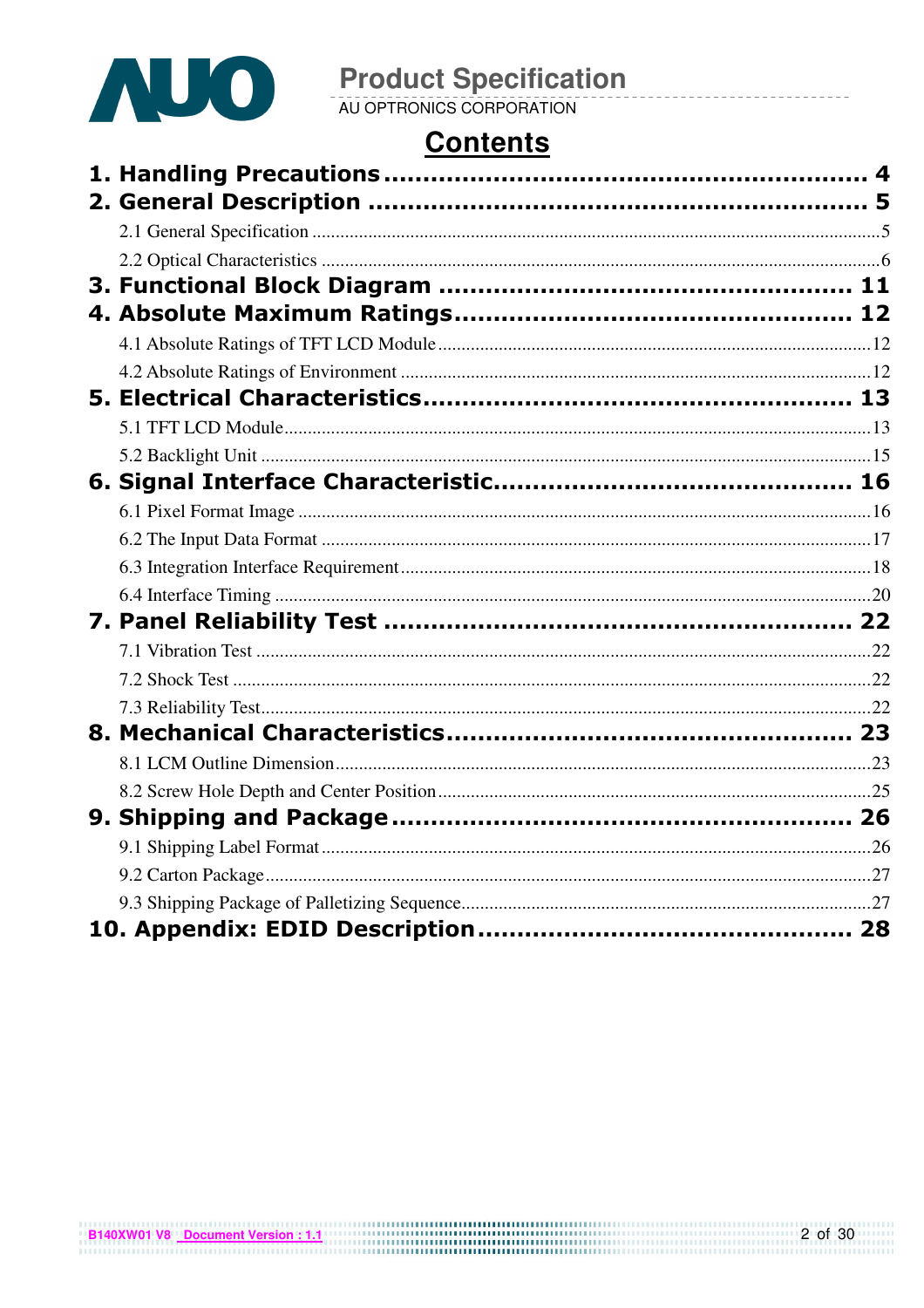

# **Contents**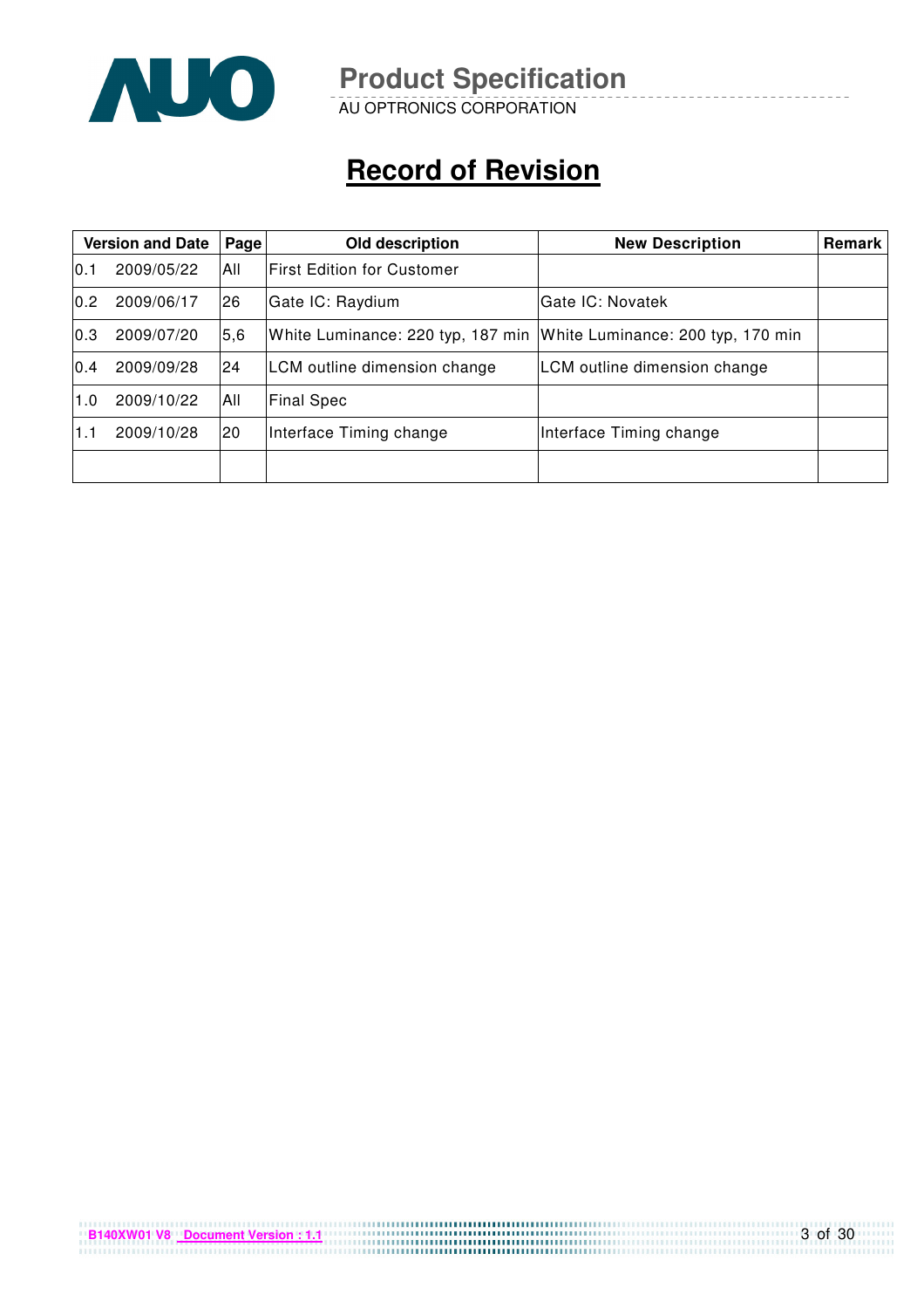

AU OPTRONICS CORPORATION

# **Record of Revision**

| <b>Version and Date</b> |            | Page | Old description                                                     | <b>New Description</b>       | Remark |
|-------------------------|------------|------|---------------------------------------------------------------------|------------------------------|--------|
| 10.1                    | 2009/05/22 | All  | <b>IFirst Edition for Customer</b>                                  |                              |        |
| 0.2                     | 2009/06/17 | 26   | Gate IC: Raydium                                                    | lGate IC: Novatek            |        |
| 0.3                     | 2009/07/20 | 5,6  | White Luminance: 220 typ, 187 min White Luminance: 200 typ, 170 min |                              |        |
| 0.4                     | 2009/09/28 | 24   | LCM outline dimension change                                        | LCM outline dimension change |        |
| 1.0                     | 2009/10/22 | All  | <b>Final Spec</b>                                                   |                              |        |
| 1.1                     | 2009/10/28 | 20   | Interface Timing change                                             | Interface Timing change      |        |
|                         |            |      |                                                                     |                              |        |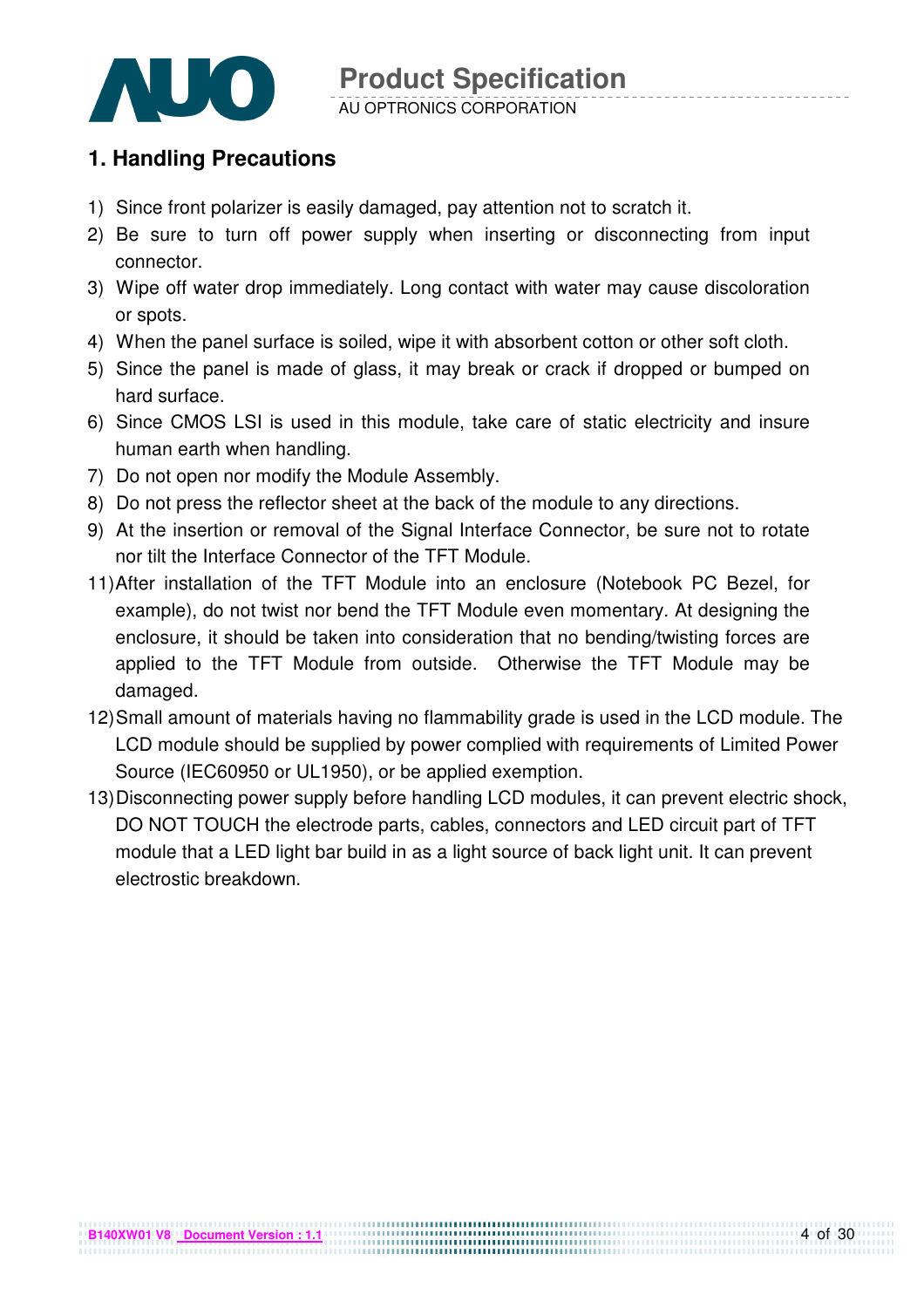

#### **1. Handling Precautions**

- 1) Since front polarizer is easily damaged, pay attention not to scratch it.
- 2) Be sure to turn off power supply when inserting or disconnecting from input connector.
- 3) Wipe off water drop immediately. Long contact with water may cause discoloration or spots.
- 4) When the panel surface is soiled, wipe it with absorbent cotton or other soft cloth.
- 5) Since the panel is made of glass, it may break or crack if dropped or bumped on hard surface.
- 6) Since CMOS LSI is used in this module, take care of static electricity and insure human earth when handling.
- 7) Do not open nor modify the Module Assembly.
- 8) Do not press the reflector sheet at the back of the module to any directions.
- 9) At the insertion or removal of the Signal Interface Connector, be sure not to rotate nor tilt the Interface Connector of the TFT Module.
- 11) After installation of the TFT Module into an enclosure (Notebook PC Bezel, for example), do not twist nor bend the TFT Module even momentary. At designing the enclosure, it should be taken into consideration that no bending/twisting forces are applied to the TFT Module from outside. Otherwise the TFT Module may be damaged.
- 12) Small amount of materials having no flammability grade is used in the LCD module. The LCD module should be supplied by power complied with requirements of Limited Power Source (IEC60950 or UL1950), or be applied exemption.
- 13) Disconnecting power supply before handling LCD modules, it can prevent electric shock, DO NOT TOUCH the electrode parts, cables, connectors and LED circuit part of TFT module that a LED light bar build in as a light source of back light unit. It can prevent electrostic breakdown.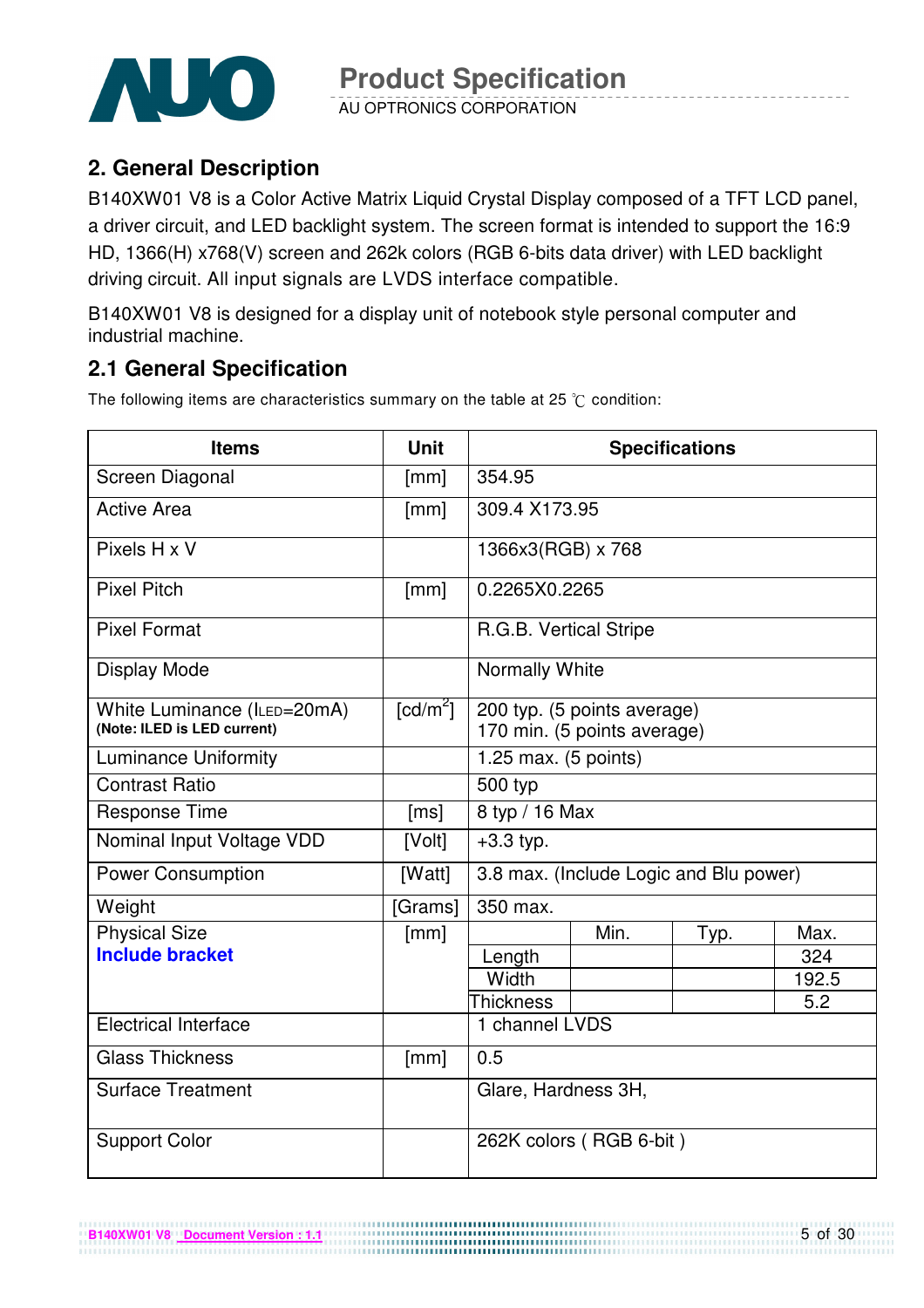

AU OPTRONICS CORPORATION

# **2. General Description**

B140XW01 V8 is a Color Active Matrix Liquid Crystal Display composed of a TFT LCD panel, a driver circuit, and LED backlight system. The screen format is intended to support the 16:9 HD, 1366(H) x768(V) screen and 262k colors (RGB 6-bits data driver) with LED backlight driving circuit. All input signals are LVDS interface compatible.

B140XW01 V8 is designed for a display unit of notebook style personal computer and industrial machine.

# **2.1 General Specification**

The following items are characteristics summary on the table at 25  $\degree$ C condition:

| <b>Items</b>                                               | <b>Unit</b>            |                                |                                                            | <b>Specifications</b>                  |       |  |
|------------------------------------------------------------|------------------------|--------------------------------|------------------------------------------------------------|----------------------------------------|-------|--|
| Screen Diagonal                                            | [mm]                   | 354.95                         |                                                            |                                        |       |  |
| <b>Active Area</b>                                         | [mm]                   | 309.4 X173.95                  |                                                            |                                        |       |  |
| $Pixels$ H x V                                             |                        | 1366x3(RGB) x 768              |                                                            |                                        |       |  |
| <b>Pixel Pitch</b>                                         | [mm]                   | 0.2265X0.2265                  |                                                            |                                        |       |  |
| <b>Pixel Format</b>                                        |                        | R.G.B. Vertical Stripe         |                                                            |                                        |       |  |
| Display Mode                                               |                        | Normally White                 |                                                            |                                        |       |  |
| White Luminance (ILED=20mA)<br>(Note: ILED is LED current) | $\lceil cd/m^2 \rceil$ |                                | 200 typ. (5 points average)<br>170 min. (5 points average) |                                        |       |  |
| <b>Luminance Uniformity</b>                                |                        | 1.25 max. $(5 \text{ points})$ |                                                            |                                        |       |  |
| <b>Contrast Ratio</b>                                      |                        | 500 typ                        |                                                            |                                        |       |  |
| <b>Response Time</b>                                       | [ms]                   | 8 typ / 16 Max                 |                                                            |                                        |       |  |
| Nominal Input Voltage VDD                                  | [Volt]                 | $+3.3$ typ.                    |                                                            |                                        |       |  |
| <b>Power Consumption</b>                                   | [Watt]                 |                                |                                                            | 3.8 max. (Include Logic and Blu power) |       |  |
| Weight                                                     | [Grams]                | 350 max.                       |                                                            |                                        |       |  |
| <b>Physical Size</b>                                       | [mm]                   |                                | Min.                                                       | Typ.                                   | Max.  |  |
| <b>Include bracket</b>                                     |                        | Length                         |                                                            |                                        | 324   |  |
|                                                            |                        | Width                          |                                                            |                                        | 192.5 |  |
|                                                            |                        | <b>Thickness</b>               |                                                            |                                        | 5.2   |  |
| <b>Electrical Interface</b>                                |                        | 1 channel LVDS                 |                                                            |                                        |       |  |
| <b>Glass Thickness</b>                                     | [mm]                   | 0.5                            |                                                            |                                        |       |  |
| <b>Surface Treatment</b>                                   |                        | Glare, Hardness 3H,            |                                                            |                                        |       |  |
| <b>Support Color</b>                                       |                        |                                | 262K colors (RGB 6-bit)                                    |                                        |       |  |

................................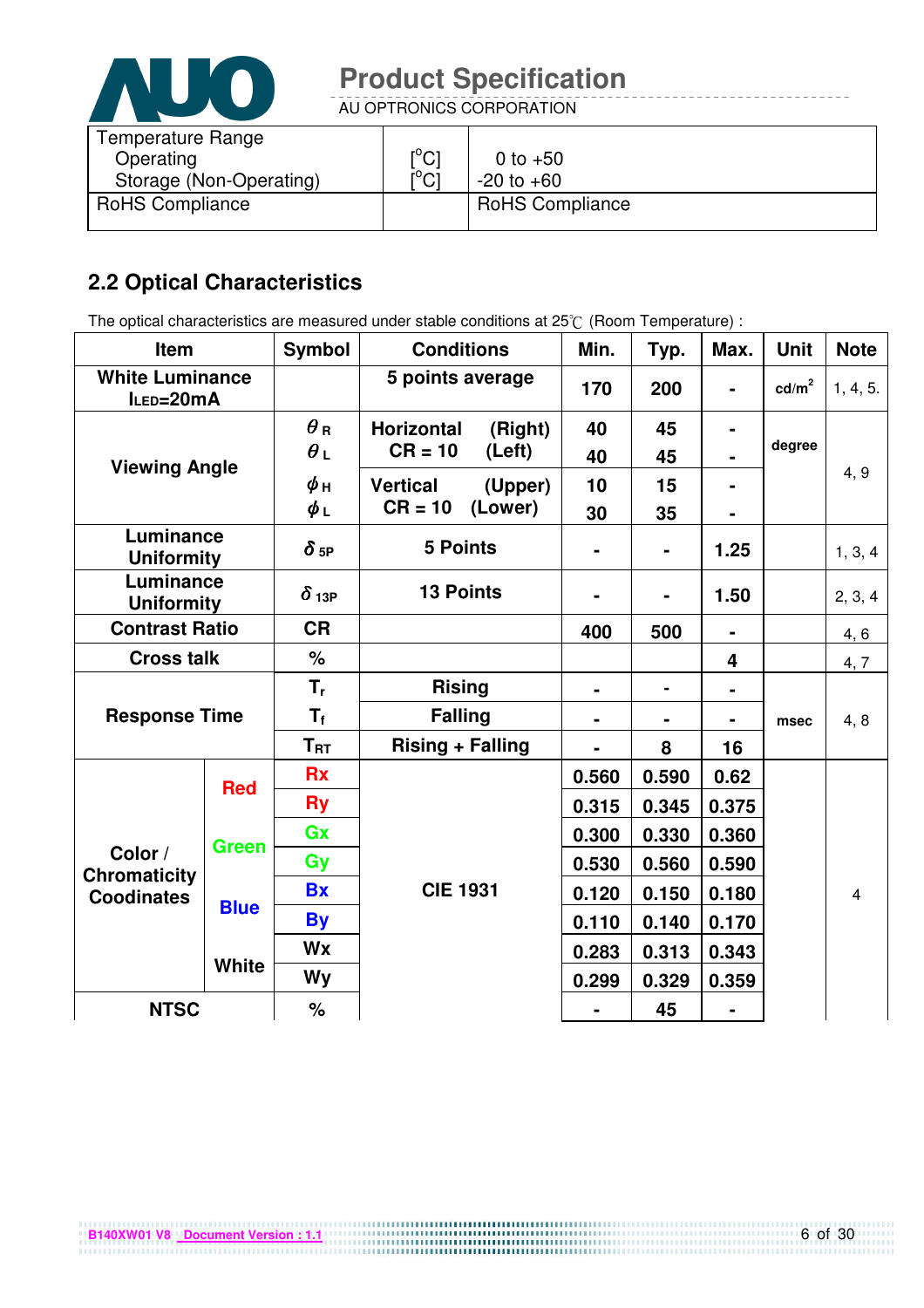

AU OPTRONICS CORPORATION

| Temperature Range       |                               |                        |
|-------------------------|-------------------------------|------------------------|
| Operating               | $\mathsf{I}^\circ\mathsf{Cl}$ | 0 to $+50$             |
| Storage (Non-Operating) | $\mathsf{I}^\circ\mathsf{Cl}$ | $-20$ to $+60$         |
| <b>RoHS Compliance</b>  |                               | <b>RoHS Compliance</b> |

# **2.2 Optical Characteristics**

The optical characteristics are measured under stable conditions at 25°C (Room Temperature) :

| Item                                |              | <b>Symbol</b>   | <b>Conditions</b>            |         | Min.           | Typ.           | Max.           | <b>Unit</b>       | <b>Note</b>    |
|-------------------------------------|--------------|-----------------|------------------------------|---------|----------------|----------------|----------------|-------------------|----------------|
| <b>White Luminance</b><br>ILED=20mA |              |                 | 5 points average             |         | 170            | 200            | $\blacksquare$ | cd/m <sup>2</sup> | 1, 4, 5.       |
|                                     |              | $\bm{\theta}$ R | <b>Horizontal</b><br>(Right) |         | 40             | 45             |                |                   |                |
| <b>Viewing Angle</b>                |              | $\theta_L$      | $CR = 10$                    | (Left)  | 40             | 45             |                | degree            |                |
|                                     |              | ψн              | <b>Vertical</b>              | (Upper) | 10             | 15             |                |                   | 4, 9           |
|                                     |              | $\phi_L$        | $CR = 10$                    | (Lower) | 30             | 35             |                |                   |                |
| Luminance<br><b>Uniformity</b>      |              | $\delta$ 5P     | <b>5 Points</b>              |         |                | $\blacksquare$ | 1.25           |                   | 1, 3, 4        |
| Luminance<br><b>Uniformity</b>      |              | $\delta$ 13P    | <b>13 Points</b>             |         |                |                | 1.50           |                   | 2, 3, 4        |
| <b>Contrast Ratio</b>               |              | <b>CR</b>       |                              |         | 400            | 500            |                |                   | 4, 6           |
| <b>Cross talk</b>                   |              | %               |                              |         |                |                | 4              |                   | 4, 7           |
|                                     |              | $T_{r}$         | <b>Rising</b>                |         | $\blacksquare$ | $\blacksquare$ |                |                   |                |
| <b>Response Time</b>                |              | $T_f$           | <b>Falling</b>               |         | $\blacksquare$ |                |                | msec              | 4, 8           |
|                                     |              | $T_{\sf RT}$    | <b>Rising + Falling</b>      |         |                | 8              | 16             |                   |                |
| <b>Red</b>                          |              | <b>Rx</b>       |                              |         | 0.560          | 0.590          | 0.62           |                   |                |
|                                     |              | <b>Ry</b>       |                              |         |                | 0.345          | 0.375          |                   |                |
|                                     | <b>Green</b> | Gx              |                              |         | 0.300          | 0.330          | 0.360          |                   |                |
| Color /<br><b>Chromaticity</b>      |              | Gy              |                              |         | 0.530          | 0.560          | 0.590          |                   |                |
| <b>Coodinates</b>                   | <b>Blue</b>  | <b>Bx</b>       | <b>CIE 1931</b>              |         | 0.120          | 0.150          | 0.180          |                   | $\overline{4}$ |
|                                     |              | <b>By</b>       |                              |         | 0.110          | 0.140          | 0.170          |                   |                |
|                                     |              | Wx              |                              |         | 0.283          | 0.313          | 0.343          |                   |                |
|                                     | <b>White</b> | <b>Wy</b>       |                              |         | 0.299          | 0.329          | 0.359          |                   |                |
| <b>NTSC</b>                         |              | $\%$            |                              |         |                | 45             |                |                   |                |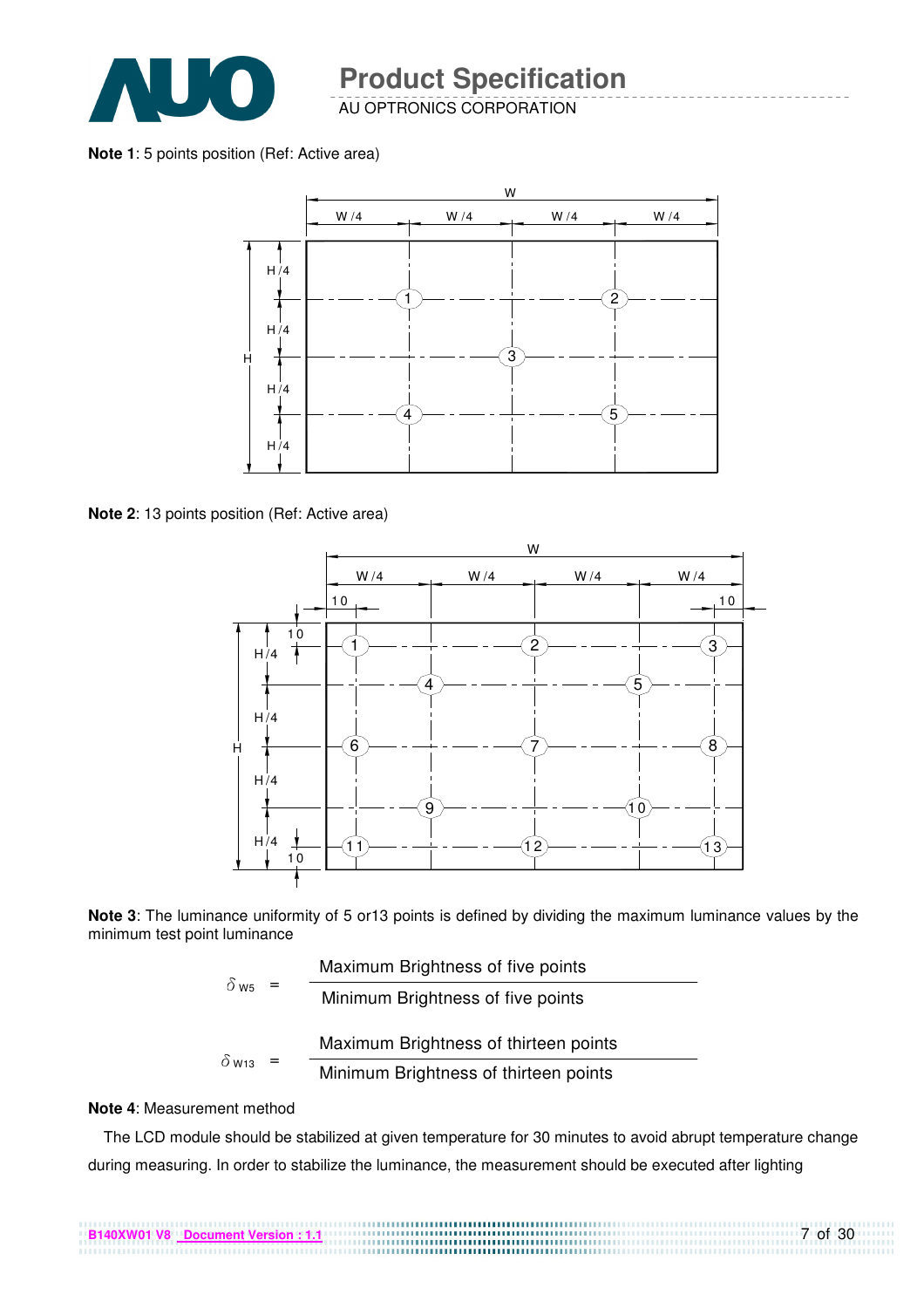

AU OPTRONICS CORPORATION

**Note 1**: 5 points position (Ref: Active area)



**Note 2**: 13 points position (Ref: Active area)



**Note 3**: The luminance uniformity of 5 or13 points is defined by dividing the maximum luminance values by the minimum test point luminance

|                          | Maximum Brightness of five points     |
|--------------------------|---------------------------------------|
| $\delta$ W <sub>5</sub>  | Minimum Brightness of five points     |
|                          | Maximum Brightness of thirteen points |
| $\delta$ W <sub>13</sub> | Minimum Brightness of thirteen points |

#### **Note 4**: Measurement method

The LCD module should be stabilized at given temperature for 30 minutes to avoid abrupt temperature change during measuring. In order to stabilize the luminance, the measurement should be executed after lighting

7 of 30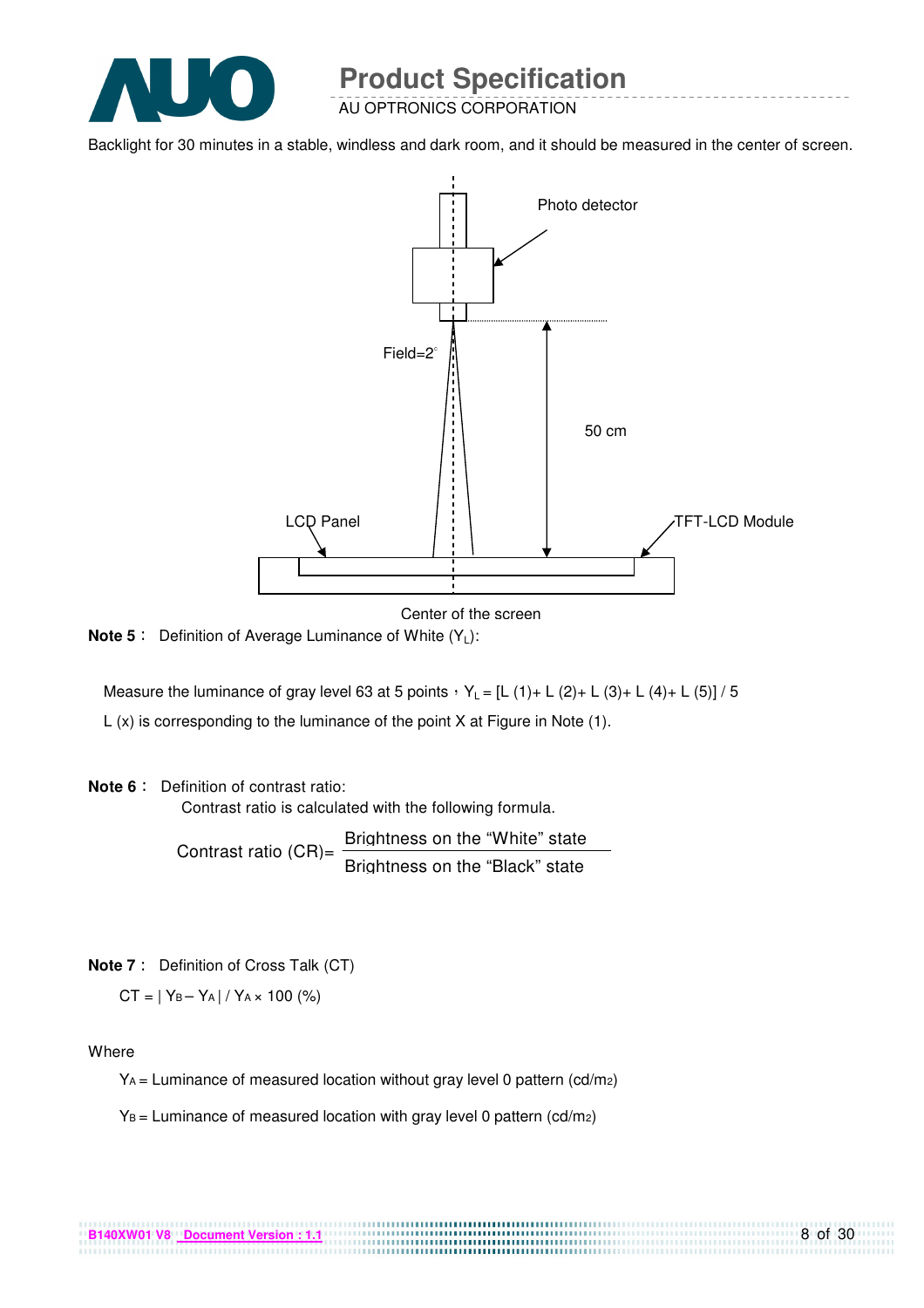

AU OPTRONICS CORPORATION

Backlight for 30 minutes in a stable, windless and dark room, and it should be measured in the center of screen.



Center of the screen

**Note 5** : Definition of Average Luminance of White (Y<sub>L</sub>):

Measure the luminance of gray level 63 at 5 points  $Y_L = [L (1) + L (2) + L (3) + L (4) + L (5)] / 5$ L (x) is corresponding to the luminance of the point X at Figure in Note (1).

#### **Note 6** : Definition of contrast ratio:

Contrast ratio is calculated with the following formula.

Contrast ratio  $(CR)$ = Brightness on the "White" state Brightness on the "Black" state

**Note 7** : Definition of Cross Talk (CT)

 $CT = |Y_B - Y_A| / Y_A \times 100$  (%)

Where

 $Y_A$  = Luminance of measured location without gray level 0 pattern (cd/m<sub>2</sub>)

.................................

 $Y_B =$  Luminance of measured location with gray level 0 pattern (cd/m2)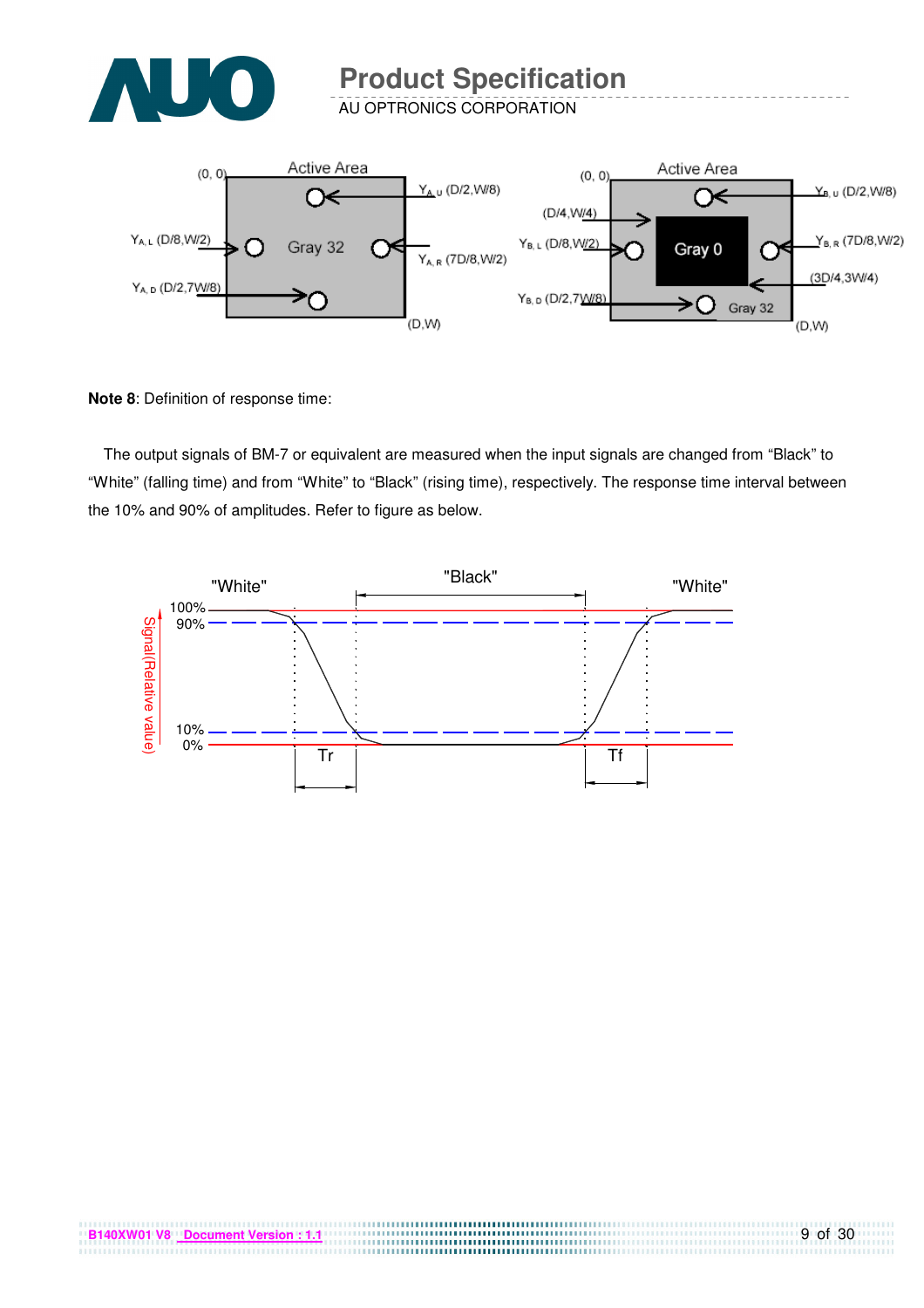

AU OPTRONICS CORPORATION



**Note 8**: Definition of response time:

The output signals of BM-7 or equivalent are measured when the input signals are changed from "Black" to "White" (falling time) and from "White" to "Black" (rising time), respectively. The response time interval between the 10% and 90% of amplitudes. Refer to figure as below.

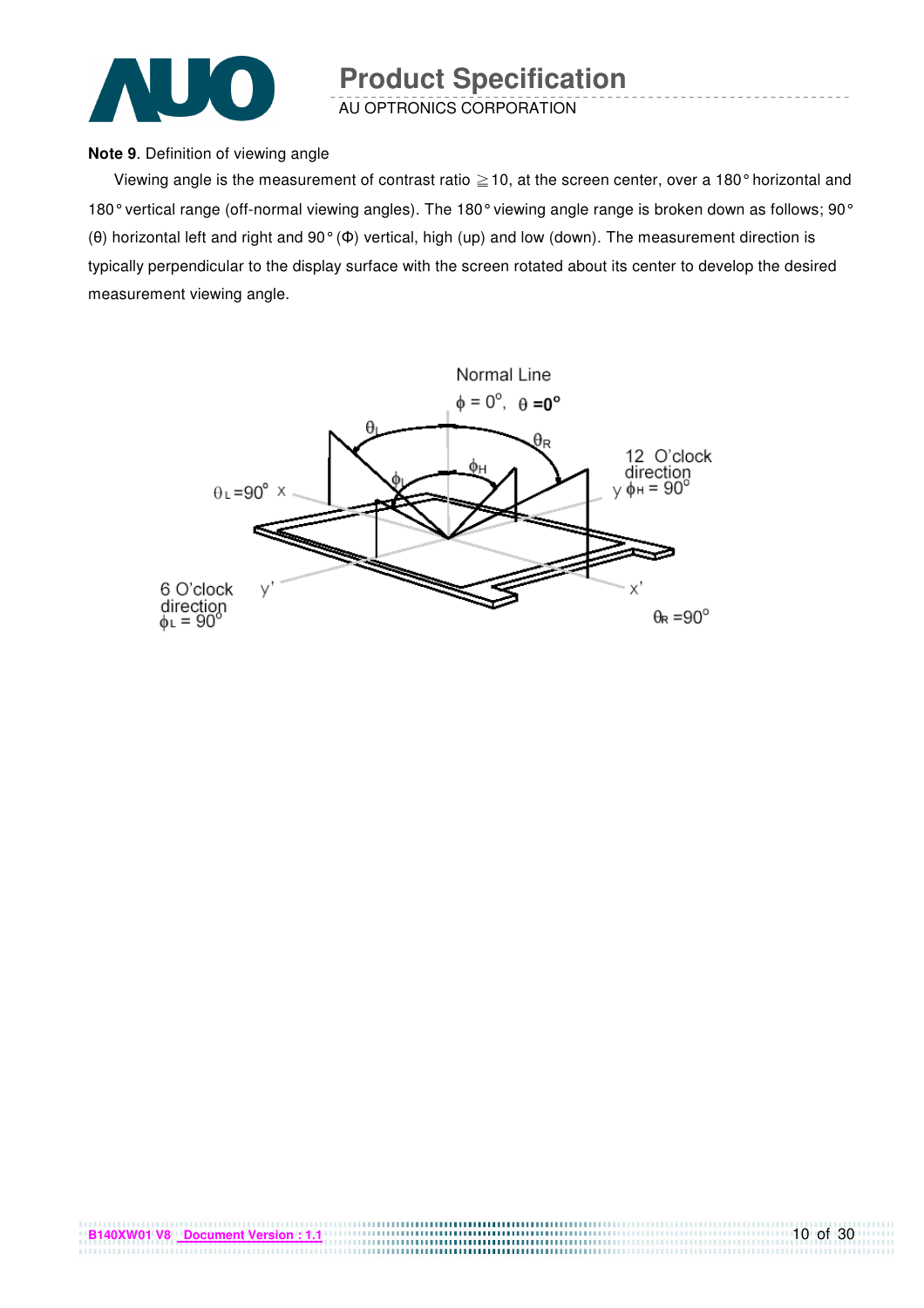

AU OPTRONICS CORPORATION

#### **Note 9**. Definition of viewing angle

Viewing angle is the measurement of contrast ratio  $\geq$  10, at the screen center, over a 180° horizontal and 180° vertical range (off-normal viewing angles). The 180° viewing angle range is broken down as follows; 90° (θ) horizontal left and right and 90° (Φ) vertical, high (up) and low (down). The measurement direction is typically perpendicular to the display surface with the screen rotated about its center to develop the desired measurement viewing angle.

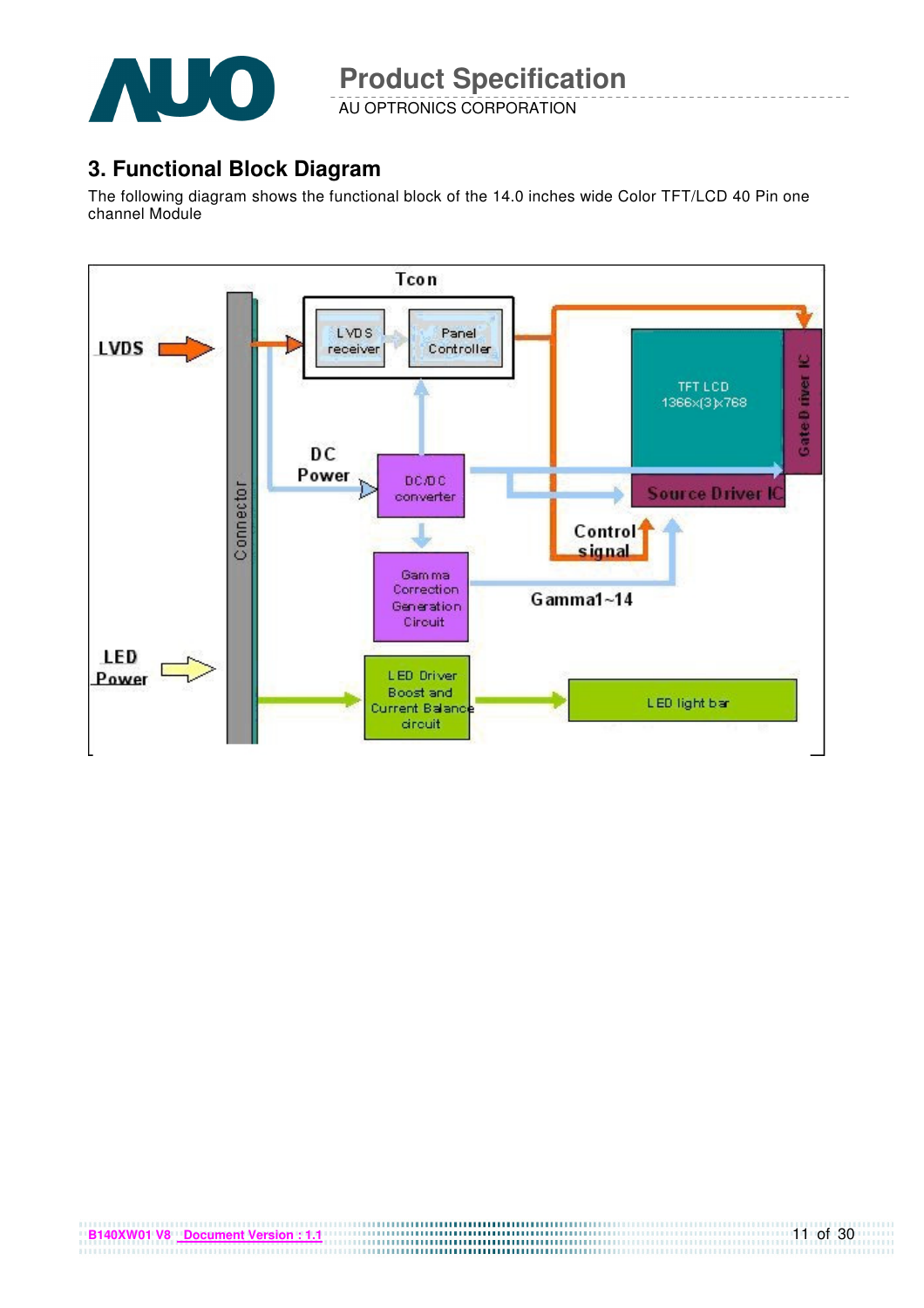

AU OPTRONICS CORPORATION

### **3. Functional Block Diagram**

The following diagram shows the functional block of the 14.0 inches wide Color TFT/LCD 40 Pin one channel Module

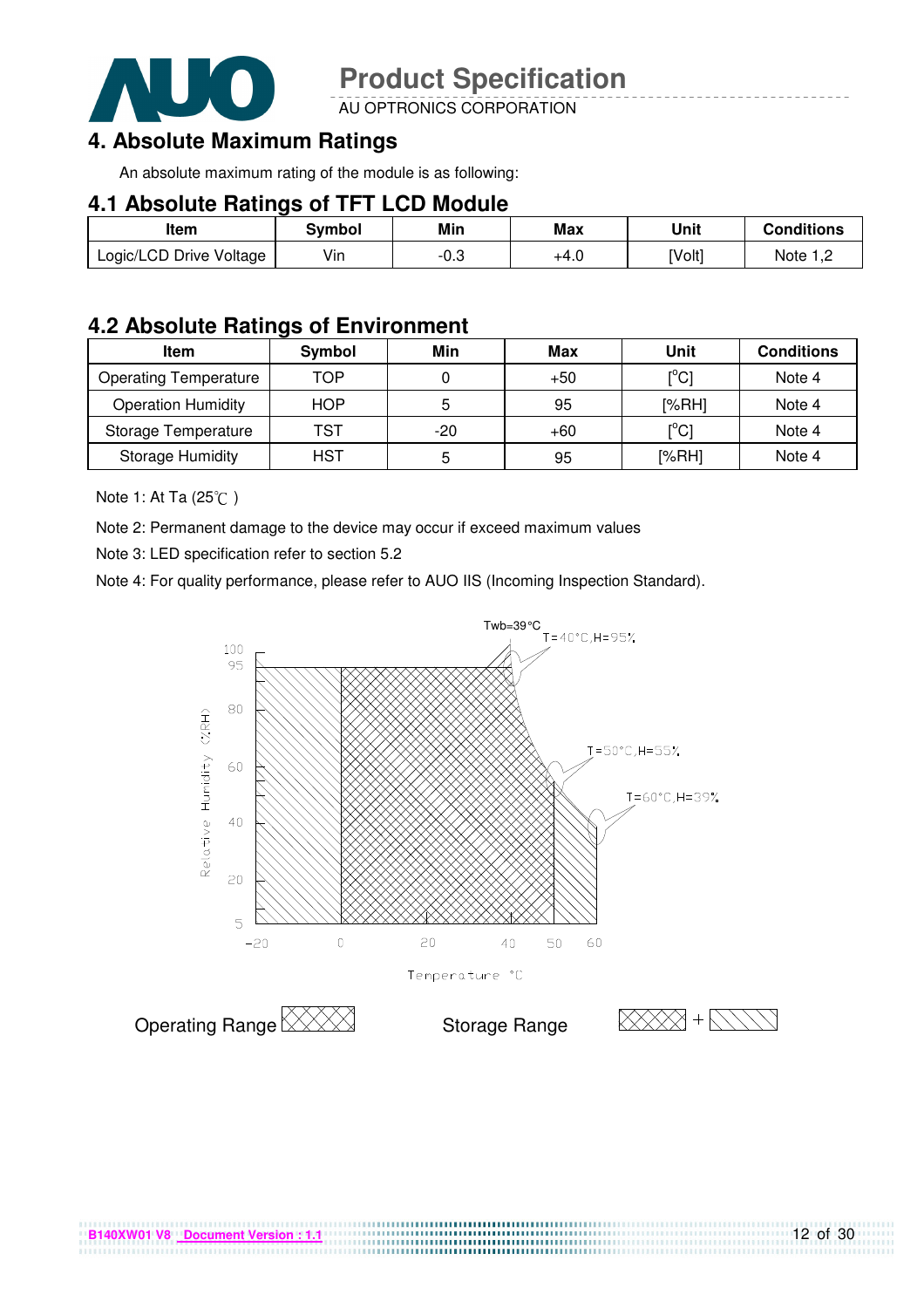

AU OPTRONICS CORPORATION

# **4. Absolute Maximum Ratings**

An absolute maximum rating of the module is as following:

#### **4.1 Absolute Ratings of TFT LCD Module**

| Item                    | Svmbol | Min  | <b>Max</b> | Unit   | Conditions   |
|-------------------------|--------|------|------------|--------|--------------|
| Logic/LCD Drive Voltage | Vin    | -0.3 | +4.U       | [Volt] | Note<br>ے, ا |

#### **4.2 Absolute Ratings of Environment**

| <b>Item</b>                  | Symbol     | Min   | Max   | Unit                                    | <b>Conditions</b> |
|------------------------------|------------|-------|-------|-----------------------------------------|-------------------|
| <b>Operating Temperature</b> | TOP        |       | $+50$ | [°C]                                    | Note 4            |
| <b>Operation Humidity</b>    | <b>HOP</b> |       | 95    | [%RH]                                   | Note 4            |
| Storage Temperature          | TST        | $-20$ | $+60$ | $\mathsf{I}^\circ\mathsf{C} \mathsf{I}$ | Note 4            |
| <b>Storage Humidity</b>      | HST        | b     | 95    | [%RH]                                   | Note 4            |

Note 1: At Ta (25°C)

Note 2: Permanent damage to the device may occur if exceed maximum values

Note 3: LED specification refer to section 5.2

Note 4: For quality performance, please refer to AUO IIS (Incoming Inspection Standard).



....................................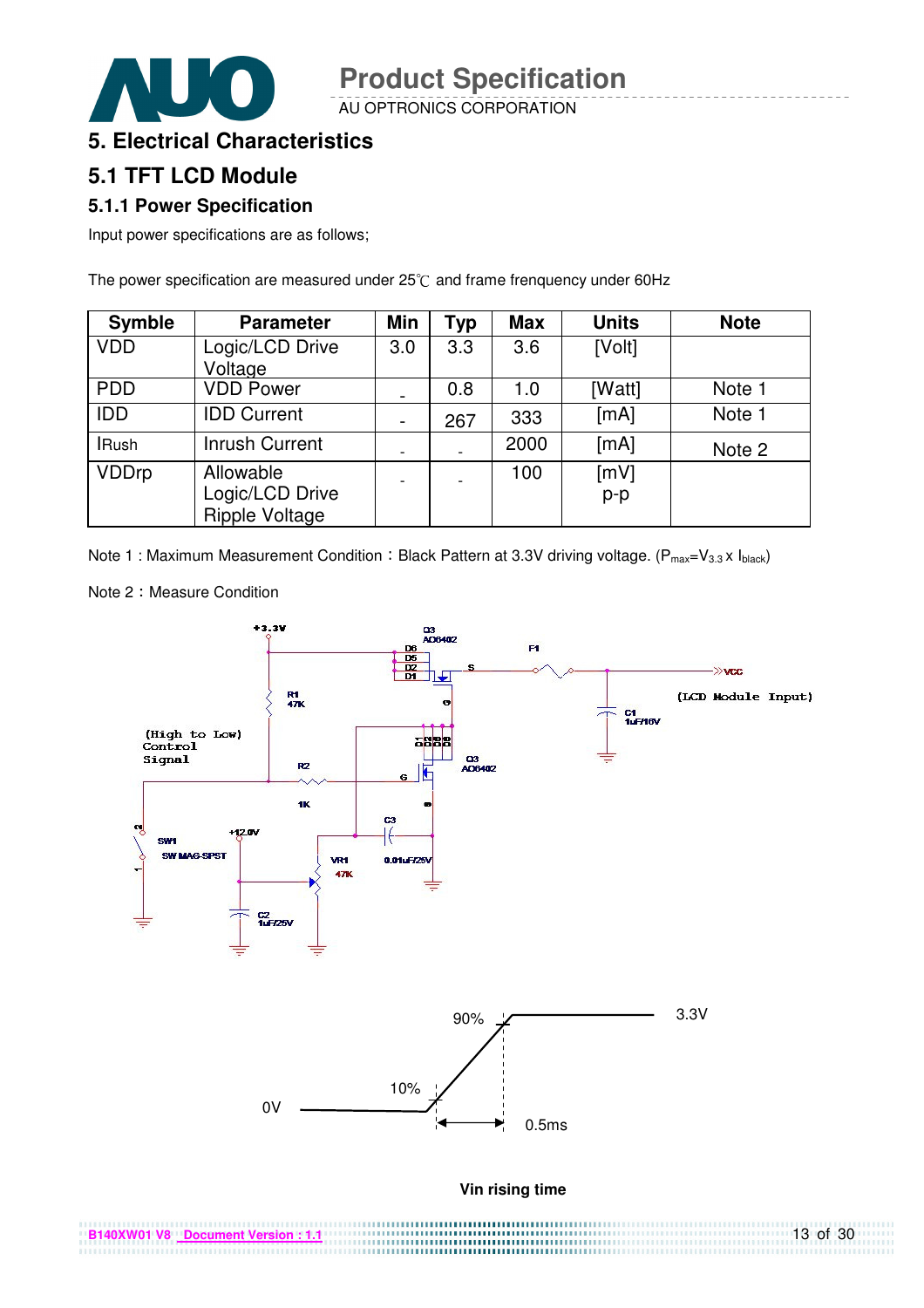AU OPTRONICS CORPORATION



#### **5. Electrical Characteristics**

### **5.1 TFT LCD Module**

#### **5.1.1 Power Specification**

Input power specifications are as follows;

The power specification are measured under  $25^{\circ}$ C and frame frenquency under 60Hz

| <b>Symble</b> | <b>Parameter</b>                                      | Min | <b>Typ</b> | <b>Max</b> | <b>Units</b>  | <b>Note</b> |
|---------------|-------------------------------------------------------|-----|------------|------------|---------------|-------------|
| <b>VDD</b>    | Logic/LCD Drive<br>Voltage                            | 3.0 | 3.3        | 3.6        | [Volt]        |             |
| <b>PDD</b>    | <b>VDD Power</b>                                      |     | 0.8        | 1.0        | [Watt]        | Note 1      |
| <b>IDD</b>    | <b>IDD Current</b>                                    |     | 267        | 333        | [mA]          | Note 1      |
| <b>IRush</b>  | Inrush Current                                        |     |            | 2000       | [mA]          | Note 2      |
| <b>VDDrp</b>  | Allowable<br>Logic/LCD Drive<br><b>Ripple Voltage</b> |     |            | 100        | [mV]<br>$p-p$ |             |

Note 1 : Maximum Measurement Condition : Black Pattern at 3.3V driving voltage. ( $P_{max}=V_{3.3} \times I_{black}$ )



Note 2: Measure Condition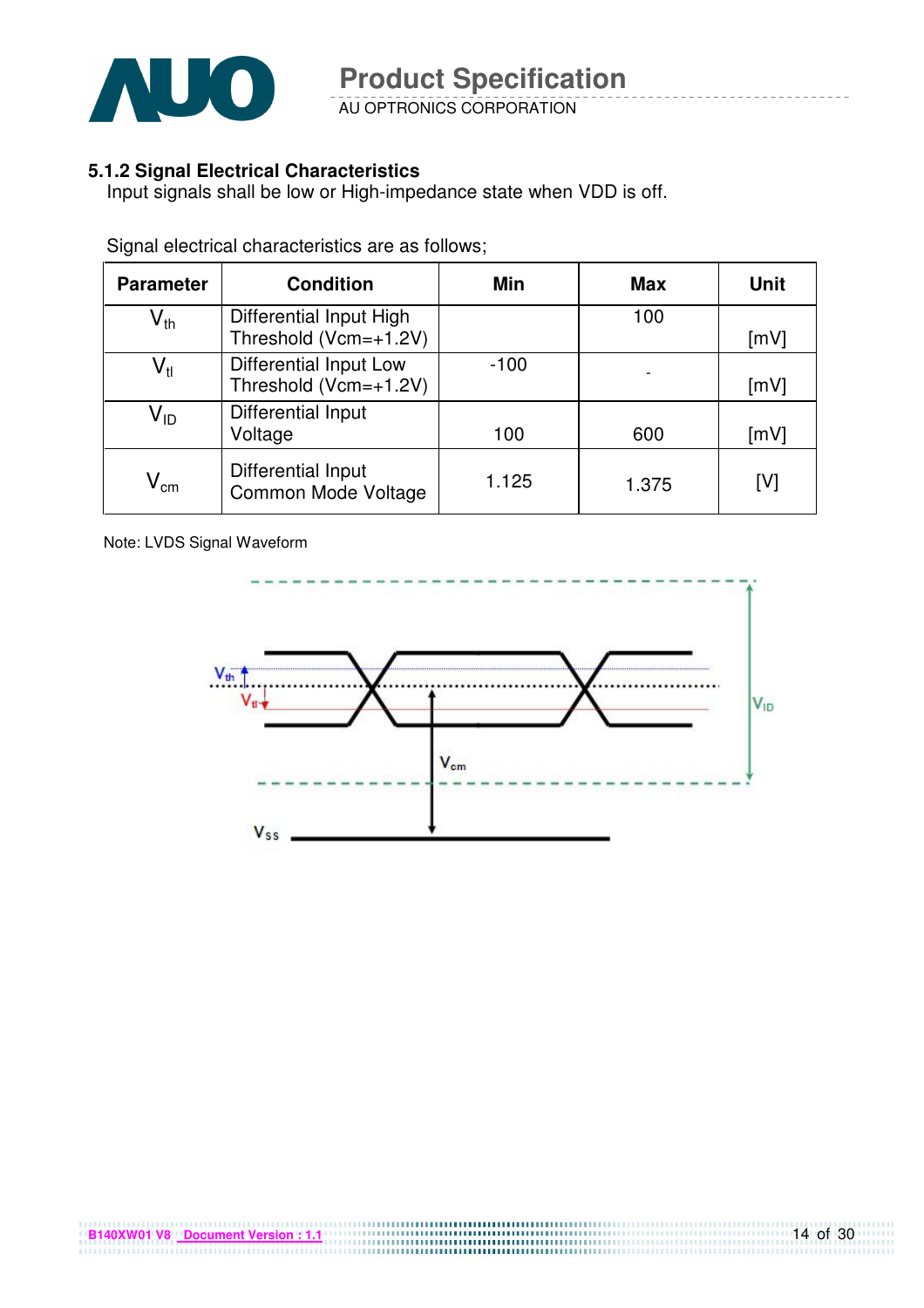

AU OPTRONICS CORPORATION

#### **5.1.2 Signal Electrical Characteristics**

Input signals shall be low or High-impedance state when VDD is off.

| <b>Parameter</b>           | <b>Condition</b>                                       | Min    | <b>Max</b> | <b>Unit</b> |
|----------------------------|--------------------------------------------------------|--------|------------|-------------|
| $\mathsf{V}_{\mathsf{th}}$ | Differential Input High<br>Threshold (Vcm=+1.2V)       |        | 100        | [mV]        |
| $\mathsf{V}_{\mathsf{tl}}$ | <b>Differential Input Low</b><br>Threshold (Vcm=+1.2V) | $-100$ |            | [mV]        |
| $V_{ID}$                   | Differential Input<br>Voltage                          | 100    | 600        | [mV]        |
| $\mathsf{V}_{\mathsf{cm}}$ | Differential Input<br><b>Common Mode Voltage</b>       | 1.125  | 1.375      | [V]         |

Signal electrical characteristics are as follows;

Note: LVDS Signal Waveform

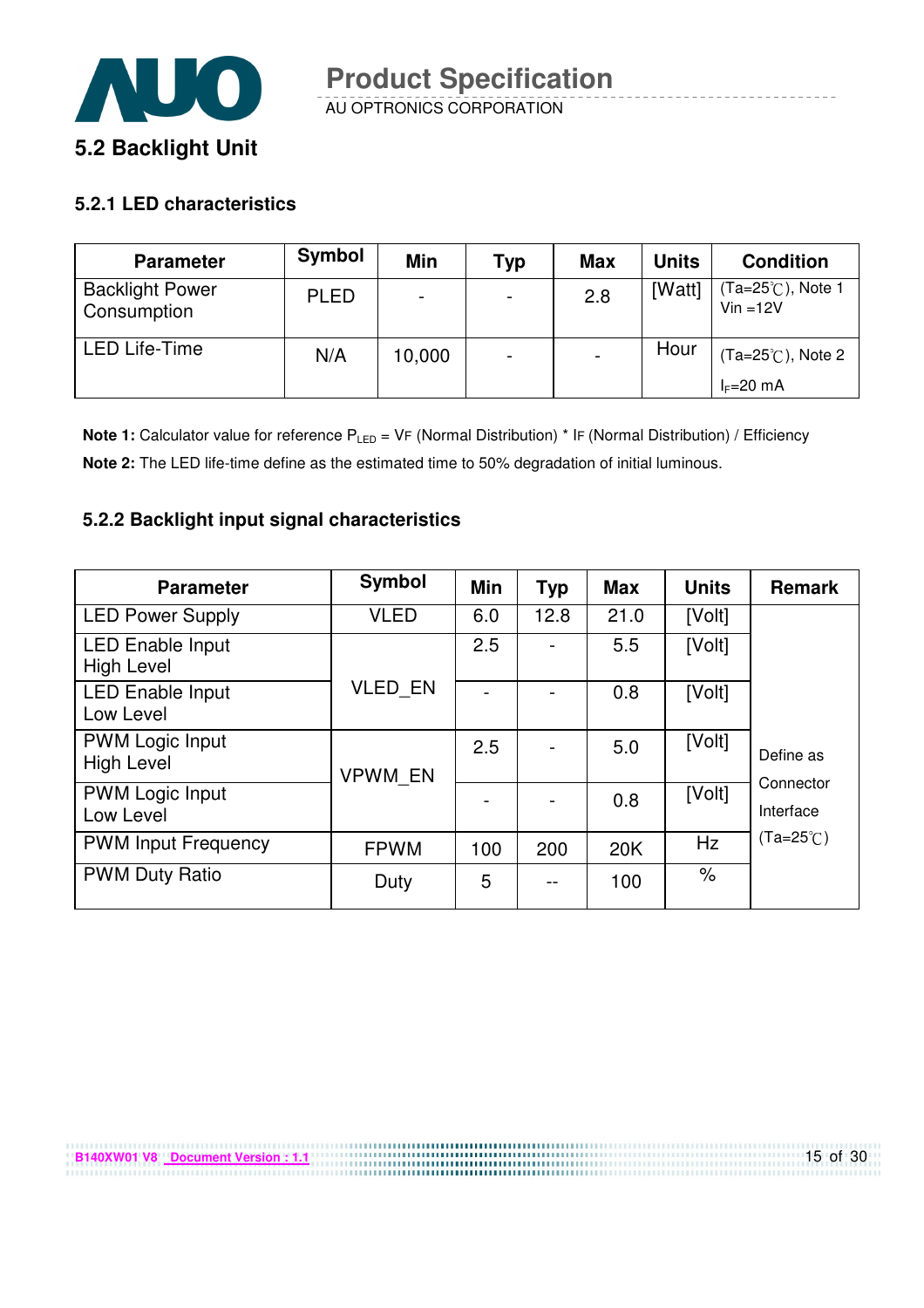

#### **5.2.1 LED characteristics**

**B140XW01 V8 Document Version : 1.1**

| <b>Parameter</b>                      | Symbol      | Min    | Typ                      | <b>Max</b> | <b>Units</b> | <b>Condition</b>                |
|---------------------------------------|-------------|--------|--------------------------|------------|--------------|---------------------------------|
| <b>Backlight Power</b><br>Consumption | <b>PLED</b> |        | $\overline{\phantom{0}}$ | 2.8        | [Watt]       | (Ta=25℃), Note 1<br>$Vin = 12V$ |
| <b>LED Life-Time</b>                  | N/A         | 10,000 | $\overline{\phantom{0}}$ |            | Hour         | $(Ta=25^{\circ}C)$ , Note 2     |
|                                       |             |        |                          |            |              | $I_F=20$ mA                     |

**Note 1:** Calculator value for reference P<sub>LED</sub> = VF (Normal Distribution) \* IF (Normal Distribution) / Efficiency **Note 2:** The LED life-time define as the estimated time to 50% degradation of initial luminous.

#### **5.2.2 Backlight input signal characteristics**

| <b>Parameter</b>                             | Symbol         | Min | <b>Typ</b> | <b>Max</b> | <b>Units</b> | <b>Remark</b>          |
|----------------------------------------------|----------------|-----|------------|------------|--------------|------------------------|
| <b>LED Power Supply</b>                      | <b>VLED</b>    | 6.0 | 12.8       | 21.0       | [Volt]       |                        |
| <b>LED Enable Input</b><br><b>High Level</b> |                | 2.5 |            | 5.5        | [Volt]       |                        |
| <b>LED Enable Input</b><br>Low Level         | <b>VLED EN</b> |     |            | 0.8        | [Volt]       |                        |
| <b>PWM Logic Input</b><br><b>High Level</b>  | <b>VPWM EN</b> | 2.5 |            | 5.0        | [Volt]       | Define as              |
| <b>PWM Logic Input</b><br>Low Level          |                |     |            | 0.8        | [Volt]       | Connector<br>Interface |
| <b>PWM Input Frequency</b>                   | <b>FPWM</b>    | 100 | 200        | 20K        | Hz           | $(Ta=25^{\circ}C)$     |
| <b>PWM Duty Ratio</b>                        | Duty           | 5   | --         | 100        | $\%$         |                        |

15 of 30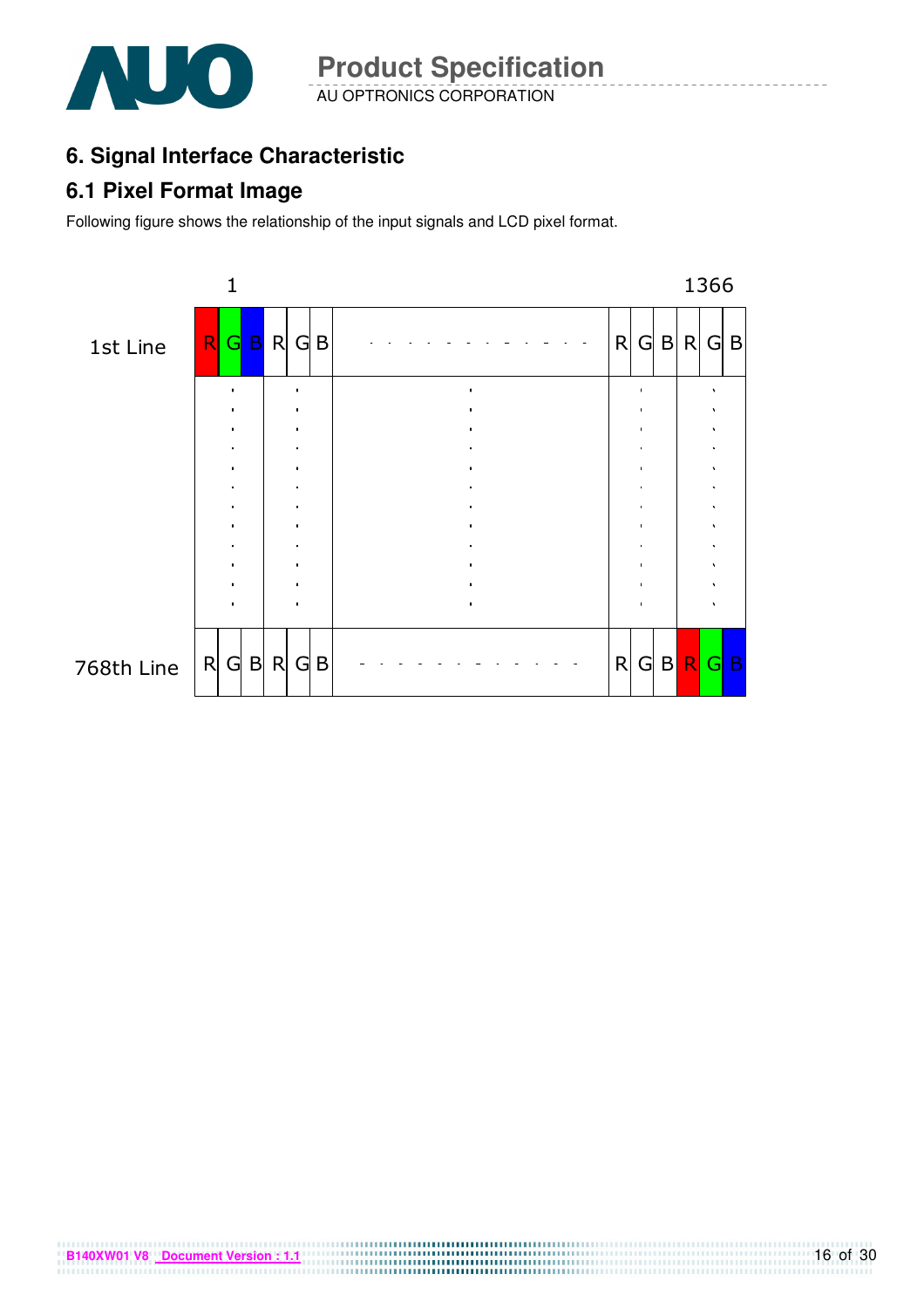

AU OPTRONICS CORPORATION **Product Specification** 

# **6. Signal Interface Characteristic**

### **6.1 Pixel Format Image**

Following figure shows the relationship of the input signals and LCD pixel format.



**B140XW01 V8** <u>Document Version : 1.1</u>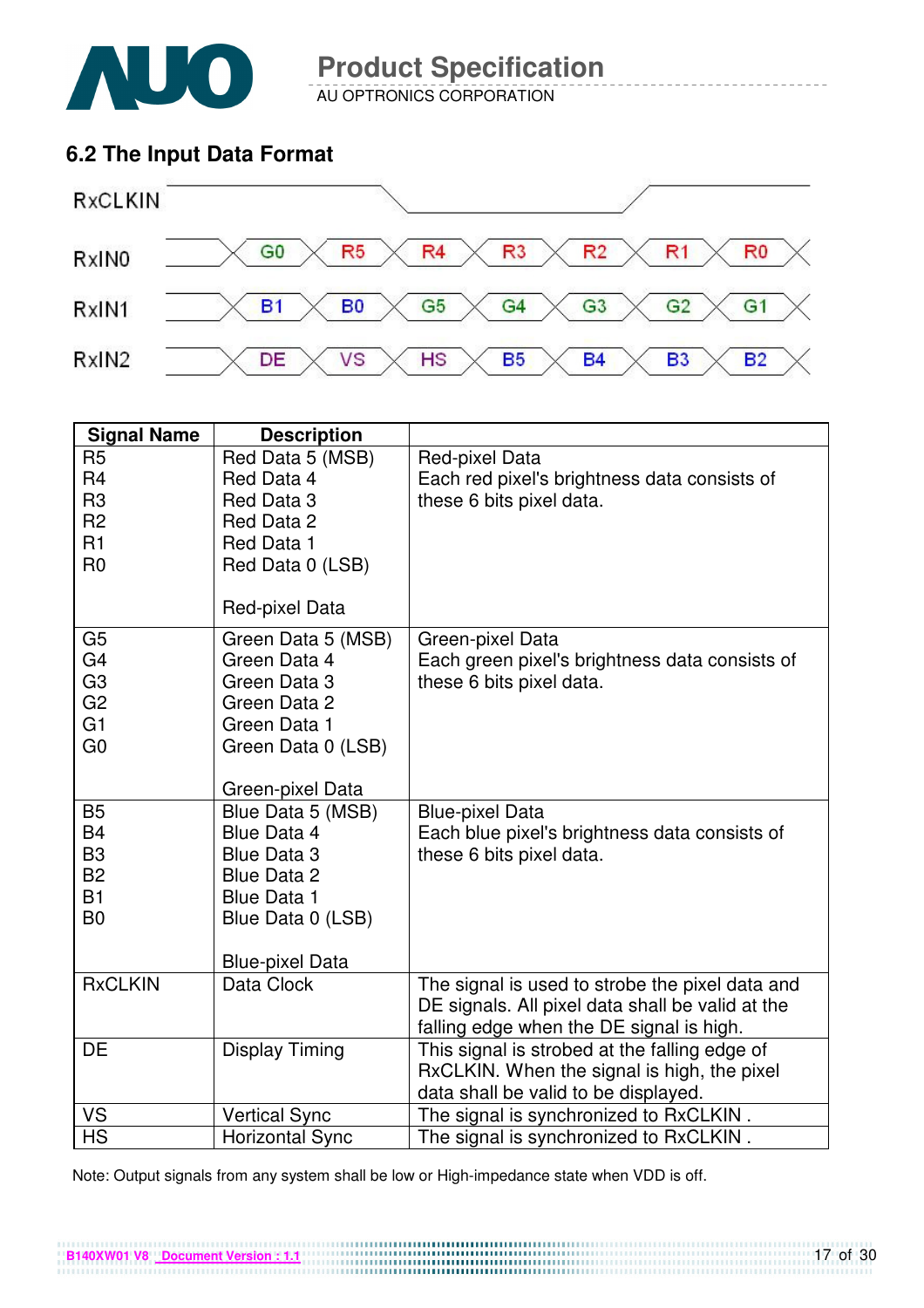

AU OPTRONICS CORPORATION

### **6.2 The Input Data Format**



| <b>Signal Name</b>                                                                                       | <b>Description</b>                                                                                                                  |                                                                                                                                                 |
|----------------------------------------------------------------------------------------------------------|-------------------------------------------------------------------------------------------------------------------------------------|-------------------------------------------------------------------------------------------------------------------------------------------------|
| R <sub>5</sub><br>R <sub>4</sub><br>R <sub>3</sub><br>R <sub>2</sub><br>R1<br>R <sub>0</sub>             | Red Data 5 (MSB)<br>Red Data 4<br>Red Data 3<br>Red Data 2<br>Red Data 1<br>Red Data 0 (LSB)<br>Red-pixel Data                      | Red-pixel Data<br>Each red pixel's brightness data consists of<br>these 6 bits pixel data.                                                      |
| G <sub>5</sub><br>G <sub>4</sub><br>G <sub>3</sub><br>G <sub>2</sub><br>G <sub>1</sub><br>G <sub>0</sub> | Green Data 5 (MSB)<br>Green Data 4<br>Green Data 3<br>Green Data 2<br>Green Data 1<br>Green Data 0 (LSB)<br>Green-pixel Data        | Green-pixel Data<br>Each green pixel's brightness data consists of<br>these 6 bits pixel data.                                                  |
| <b>B5</b><br><b>B4</b><br>B <sub>3</sub><br><b>B2</b><br>B1<br>B <sub>0</sub>                            | Blue Data 5 (MSB)<br>Blue Data 4<br>Blue Data 3<br>Blue Data 2<br><b>Blue Data 1</b><br>Blue Data 0 (LSB)<br><b>Blue-pixel Data</b> | <b>Blue-pixel Data</b><br>Each blue pixel's brightness data consists of<br>these 6 bits pixel data.                                             |
| <b>RxCLKIN</b>                                                                                           | Data Clock                                                                                                                          | The signal is used to strobe the pixel data and<br>DE signals. All pixel data shall be valid at the<br>falling edge when the DE signal is high. |
| DE                                                                                                       | <b>Display Timing</b>                                                                                                               | This signal is strobed at the falling edge of<br>RxCLKIN. When the signal is high, the pixel<br>data shall be valid to be displayed.            |
| VS                                                                                                       | <b>Vertical Sync</b>                                                                                                                | The signal is synchronized to RxCLKIN.                                                                                                          |
| <b>HS</b>                                                                                                | <b>Horizontal Sync</b>                                                                                                              | The signal is synchronized to RxCLKIN.                                                                                                          |

Note: Output signals from any system shall be low or High-impedance state when VDD is off.

**B140XW01 V8** <u>Document Version : 1.1</u> **CONSERVERSION CONSERVERSION CONSERVERSION**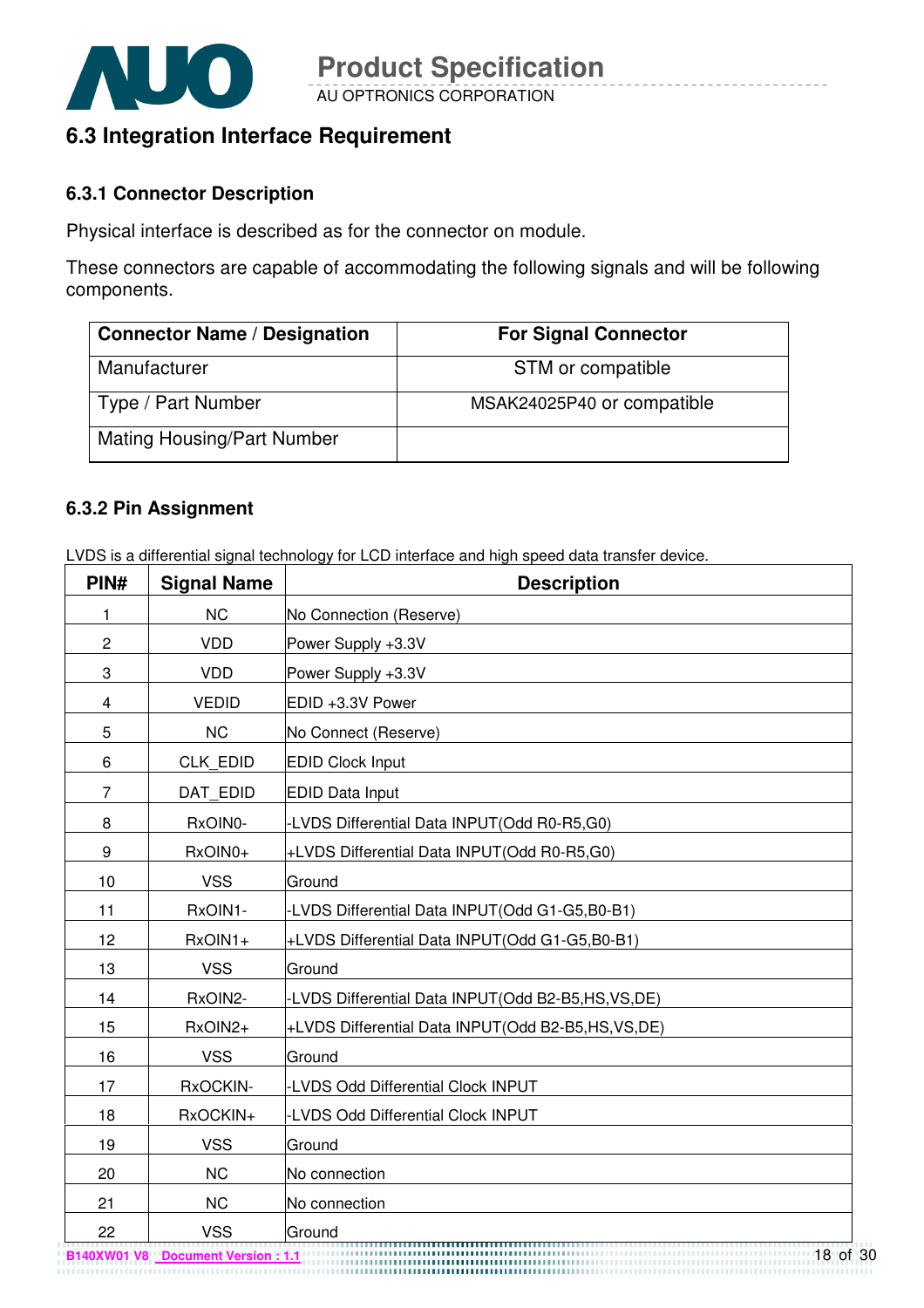

### **6.3 Integration Interface Requirement**

#### **6.3.1 Connector Description**

Physical interface is described as for the connector on module.

These connectors are capable of accommodating the following signals and will be following components.

| <b>Connector Name / Designation</b> | <b>For Signal Connector</b> |
|-------------------------------------|-----------------------------|
| Manufacturer                        | STM or compatible           |
| Type / Part Number                  | MSAK24025P40 or compatible  |
| <b>Mating Housing/Part Number</b>   |                             |

#### **6.3.2 Pin Assignment**

LVDS is a differential signal technology for LCD interface and high speed data transfer device.

| PIN#           | <b>Signal Name</b> | <b>Description</b>                                  |
|----------------|--------------------|-----------------------------------------------------|
| 1              | <b>NC</b>          | No Connection (Reserve)                             |
| $\overline{c}$ | <b>VDD</b>         | Power Supply +3.3V                                  |
| 3              | <b>VDD</b>         | Power Supply +3.3V                                  |
| 4              | <b>VEDID</b>       | EDID +3.3V Power                                    |
| 5              | <b>NC</b>          | No Connect (Reserve)                                |
| 6              | <b>CLK EDID</b>    | <b>EDID Clock Input</b>                             |
| $\overline{7}$ | DAT_EDID           | <b>EDID Data Input</b>                              |
| 8              | RxOIN0-            | -LVDS Differential Data INPUT(Odd R0-R5,G0)         |
| 9              | RxOIN0+            | +LVDS Differential Data INPUT(Odd R0-R5,G0)         |
| 10             | <b>VSS</b>         | Ground                                              |
| 11             | RxOIN1-            | -LVDS Differential Data INPUT(Odd G1-G5,B0-B1)      |
| 12             | RxOIN1+            | +LVDS Differential Data INPUT(Odd G1-G5,B0-B1)      |
| 13             | <b>VSS</b>         | Ground                                              |
| 14             | RxOIN2-            | -LVDS Differential Data INPUT(Odd B2-B5,HS,VS,DE)   |
| 15             | RxOIN2+            | +LVDS Differential Data INPUT(Odd B2-B5,HS, VS, DE) |
| 16             | <b>VSS</b>         | Ground                                              |
| 17             | RxOCKIN-           | -LVDS Odd Differential Clock INPUT                  |
| 18             | RxOCKIN+           | <b>LVDS Odd Differential Clock INPUT</b>            |
| 19             | <b>VSS</b>         | Ground                                              |
| 20             | <b>NC</b>          | No connection                                       |
| 21             | <b>NC</b>          | No connection                                       |
| 22             | <b>VSS</b>         | Ground<br>,,,,,,,,,,,,,,,,,,,,,,                    |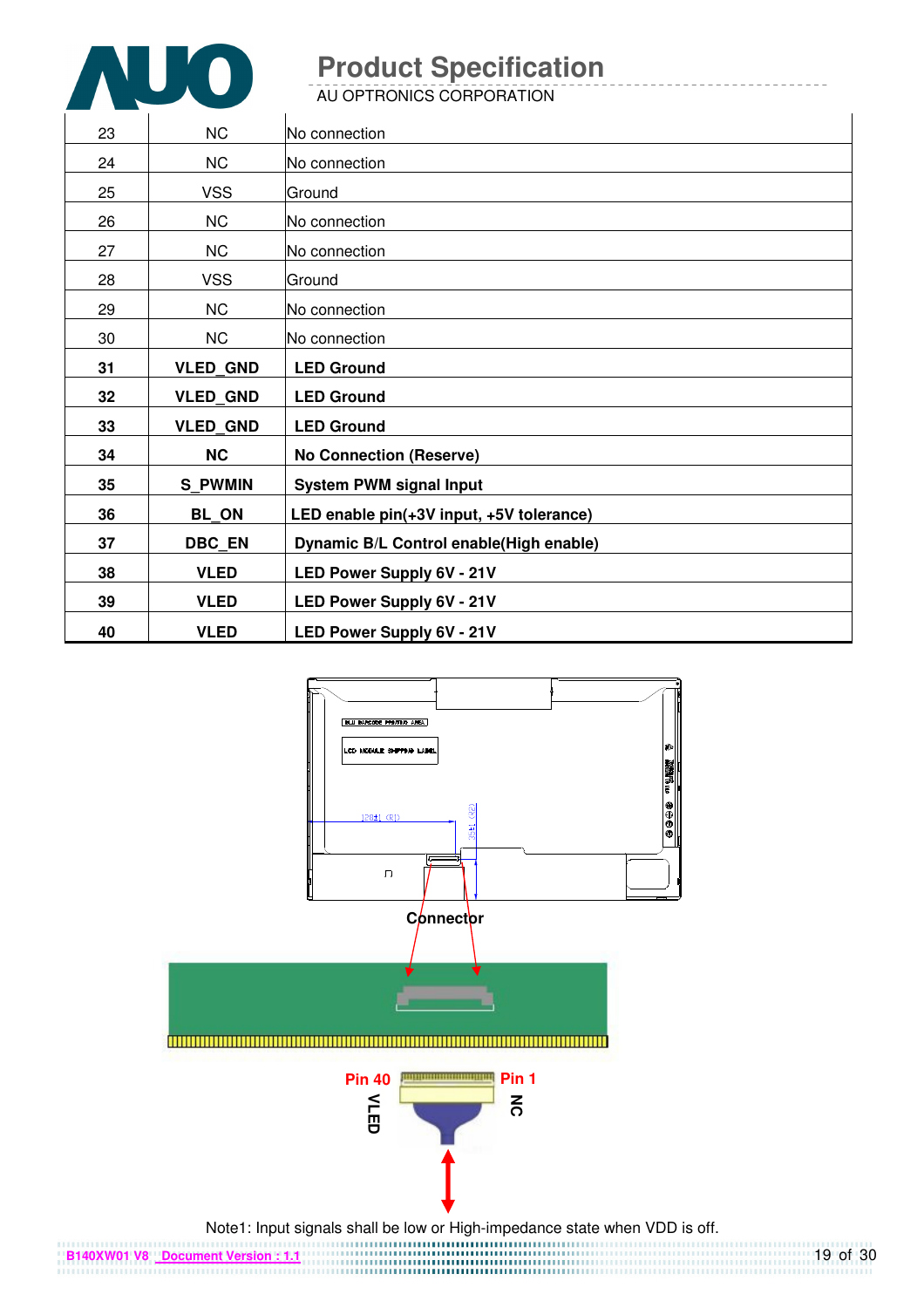

AU OPTRONICS CORPORATION

| 23 | <b>NC</b>       | No connection                            |
|----|-----------------|------------------------------------------|
| 24 | <b>NC</b>       | No connection                            |
| 25 | <b>VSS</b>      | Ground                                   |
| 26 | <b>NC</b>       | No connection                            |
| 27 | NC              | No connection                            |
| 28 | <b>VSS</b>      | lGround                                  |
| 29 | <b>NC</b>       | No connection                            |
| 30 | <b>NC</b>       | No connection                            |
| 31 | <b>VLED_GND</b> | <b>LED Ground</b>                        |
|    |                 |                                          |
| 32 | <b>VLED_GND</b> | <b>LED Ground</b>                        |
| 33 | <b>VLED GND</b> | <b>LED Ground</b>                        |
| 34 | <b>NC</b>       | <b>No Connection (Reserve)</b>           |
| 35 | <b>S PWMIN</b>  | <b>System PWM signal Input</b>           |
| 36 | BL_ON           | LED enable pin(+3V input, +5V tolerance) |
| 37 | <b>DBC_EN</b>   | Dynamic B/L Control enable(High enable)  |
| 38 | <b>VLED</b>     | LED Power Supply 6V - 21V                |
| 39 | <b>VLED</b>     | LED Power Supply 6V - 21V                |



19 of 30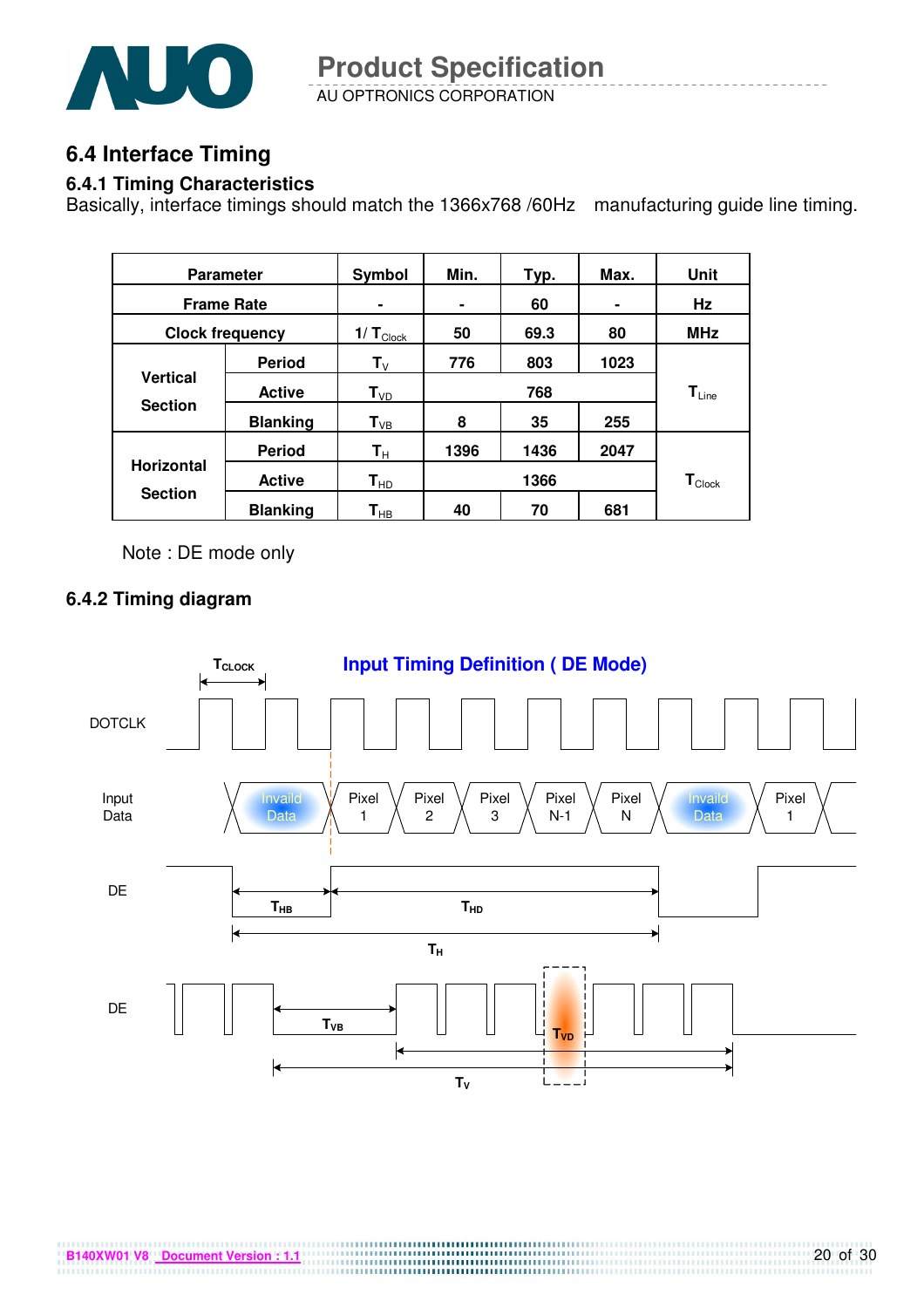![](_page_19_Picture_0.jpeg)

AU OPTRONICS CORPORATION **Product Specification** 

### **6.4 Interface Timing**

#### **6.4.1 Timing Characteristics**

Basically, interface timings should match the 1366x768 /60Hz manufacturing guide line timing.

| <b>Parameter</b>  |                        | Symbol                    | Min. | Typ. | Max. | Unit                         |
|-------------------|------------------------|---------------------------|------|------|------|------------------------------|
| <b>Frame Rate</b> |                        | ۰                         | ٠    | 60   | ۰    | Hz                           |
|                   | <b>Clock frequency</b> | $1/T_{\text{Clock}}$      | 50   | 69.3 | 80   | <b>MHz</b>                   |
|                   | <b>Period</b>          | $\mathbf{T}_{\mathsf{V}}$ | 776  | 803  | 1023 |                              |
| <b>Vertical</b>   | <b>Active</b>          | $T_{VD}$                  |      | 768  |      | $\mathsf{T}_{\mathsf{Line}}$ |
| <b>Section</b>    | <b>Blanking</b>        | $T_{VB}$                  | 8    | 35   | 255  |                              |
|                   | <b>Period</b>          | $\mathsf{T}_\mathsf{H}$   | 1396 | 1436 | 2047 |                              |
| <b>Horizontal</b> | <b>Active</b>          | $\mathbf{T}_{\sf HD}$     |      | 1366 |      | $\mathbf{T}_{\text{Clock}}$  |
| <b>Section</b>    | <b>Blanking</b>        | $\textsf{T}_{\sf HB}$     | 40   | 70   | 681  |                              |

Note : DE mode only

#### **6.4.2 Timing diagram**

![](_page_19_Figure_8.jpeg)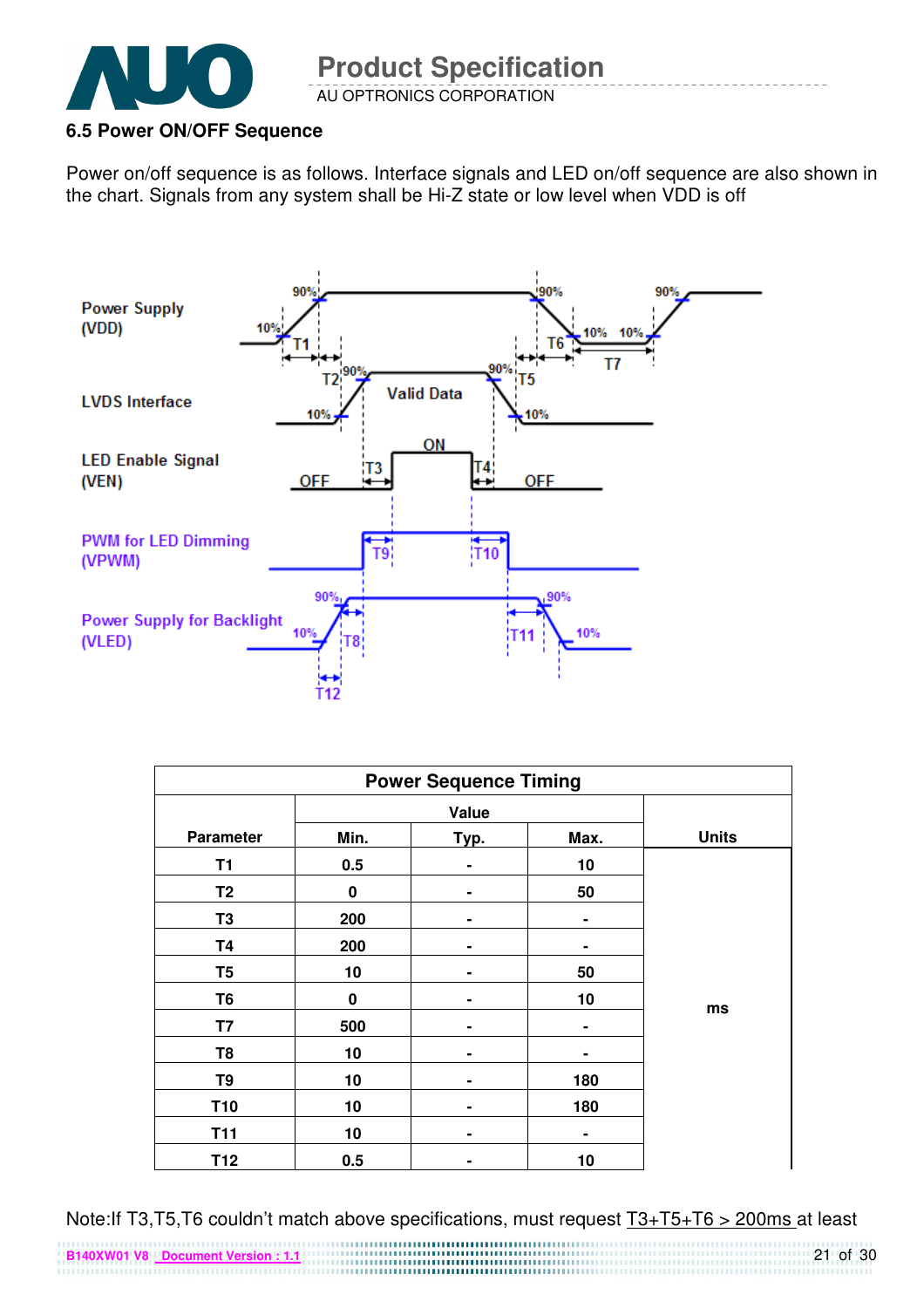![](_page_20_Picture_0.jpeg)

#### **6.5 Power ON/OFF Sequence**

Power on/off sequence is as follows. Interface signals and LED on/off sequence are also shown in the chart. Signals from any system shall be Hi-Z state or low level when VDD is off

![](_page_20_Figure_4.jpeg)

| <b>Power Sequence Timing</b> |          |                |                |              |  |
|------------------------------|----------|----------------|----------------|--------------|--|
|                              |          | Value          |                |              |  |
| <b>Parameter</b>             | Min.     | Typ.           | Max.           | <b>Units</b> |  |
| T <sub>1</sub>               | 0.5      |                | 10             |              |  |
| T <sub>2</sub>               | 0        |                | 50             |              |  |
| T <sub>3</sub>               | 200      | -              | $\blacksquare$ |              |  |
| <b>T4</b>                    | 200      | $\blacksquare$ | ٠              |              |  |
| T <sub>5</sub>               | 10       | ۰              | 50             |              |  |
| T6                           | $\bf{0}$ |                | 10             |              |  |
| T7                           | 500      |                | ۰              | ms           |  |
| T8                           | 10       |                |                |              |  |
| T <sub>9</sub>               | 10       |                | 180            |              |  |
| <b>T10</b>                   | 10       | -              | 180            |              |  |
| <b>T11</b>                   | 10       | ۰              | ۰              |              |  |
| T12                          | 0.5      | ۰              | 10             |              |  |

Note:If T3,T5,T6 couldn't match above specifications, must request T3+T5+T6 > 200ms at least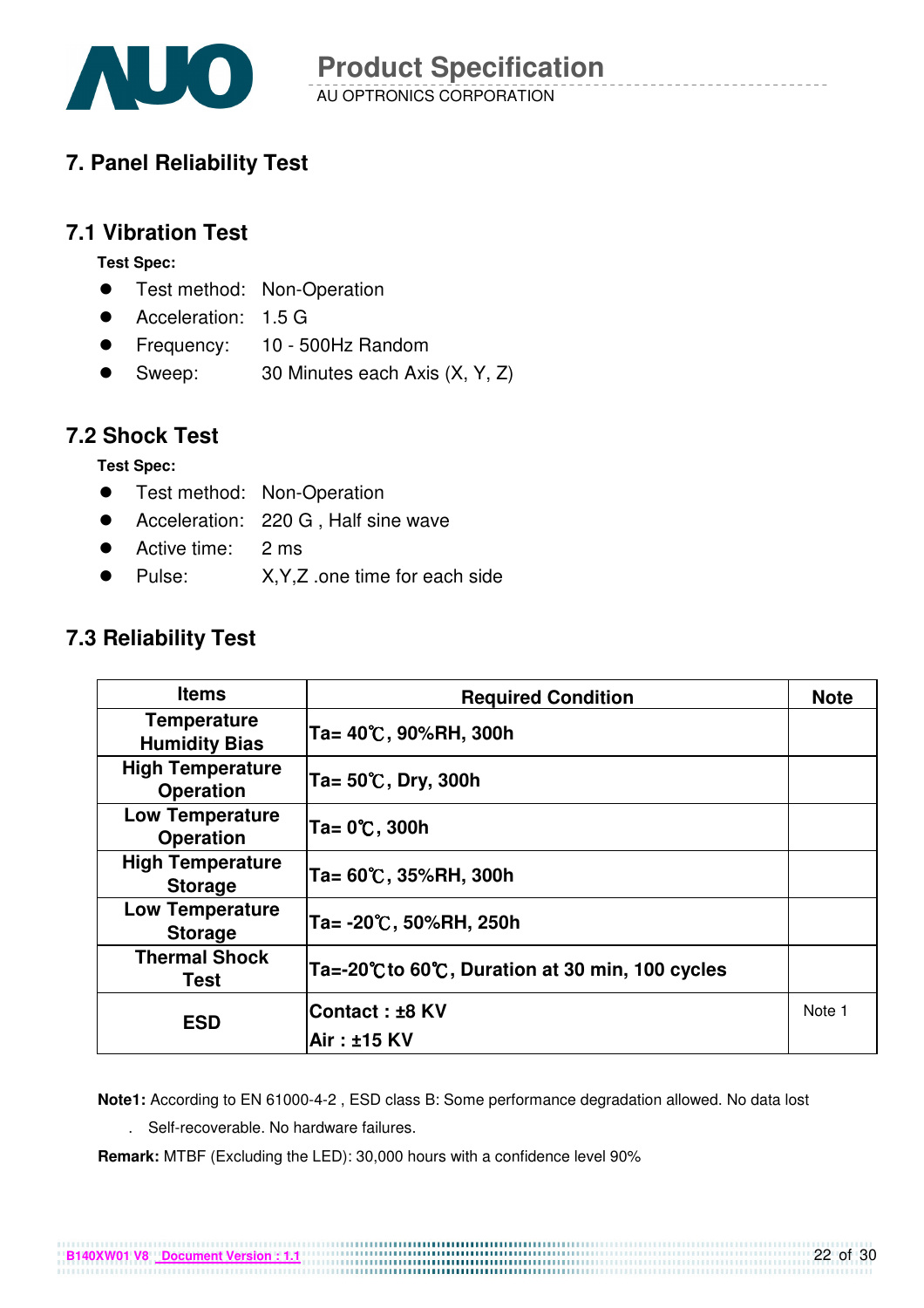![](_page_21_Picture_0.jpeg)

# **7. Panel Reliability Test**

### **7.1 Vibration Test**

**Test Spec:** 

- **•** Test method: Non-Operation
- Acceleration: 1.5 G
- Frequency: 10 500Hz Random
- Sweep: 30 Minutes each Axis (X, Y, Z)

### **7.2 Shock Test**

**Test Spec:** 

- **•** Test method: Non-Operation
- Acceleration: 220 G, Half sine wave
- Active time: 2 ms
- Pulse: X, Y, Z .one time for each side

### **7.3 Reliability Test**

| <b>Items</b>                                | <b>Required Condition</b>                      | <b>Note</b> |
|---------------------------------------------|------------------------------------------------|-------------|
| <b>Temperature</b><br><b>Humidity Bias</b>  | Ta= 40℃, 90%RH, 300h                           |             |
| <b>High Temperature</b><br><b>Operation</b> | Ta= $50^{\circ}$ C, Dry, 300h                  |             |
| <b>Low Temperature</b><br><b>Operation</b>  | Ta= 0℃, 300h                                   |             |
| <b>High Temperature</b><br><b>Storage</b>   | Ta= 60℃, 35%RH, 300h                           |             |
| <b>Low Temperature</b><br><b>Storage</b>    | Ta= -20℃, 50%RH, 250h                          |             |
| <b>Thermal Shock</b><br>Test                | Ta=-20℃ to 60℃, Duration at 30 min, 100 cycles |             |
| <b>ESD</b>                                  | Contact: ±8 KV                                 | Note 1      |
|                                             | Air : ±15 KV                                   |             |

**Note1:** According to EN 61000-4-2 , ESD class B: Some performance degradation allowed. No data lost

. Self-recoverable. No hardware failures.

**Remark:** MTBF (Excluding the LED): 30,000 hours with a confidence level 90%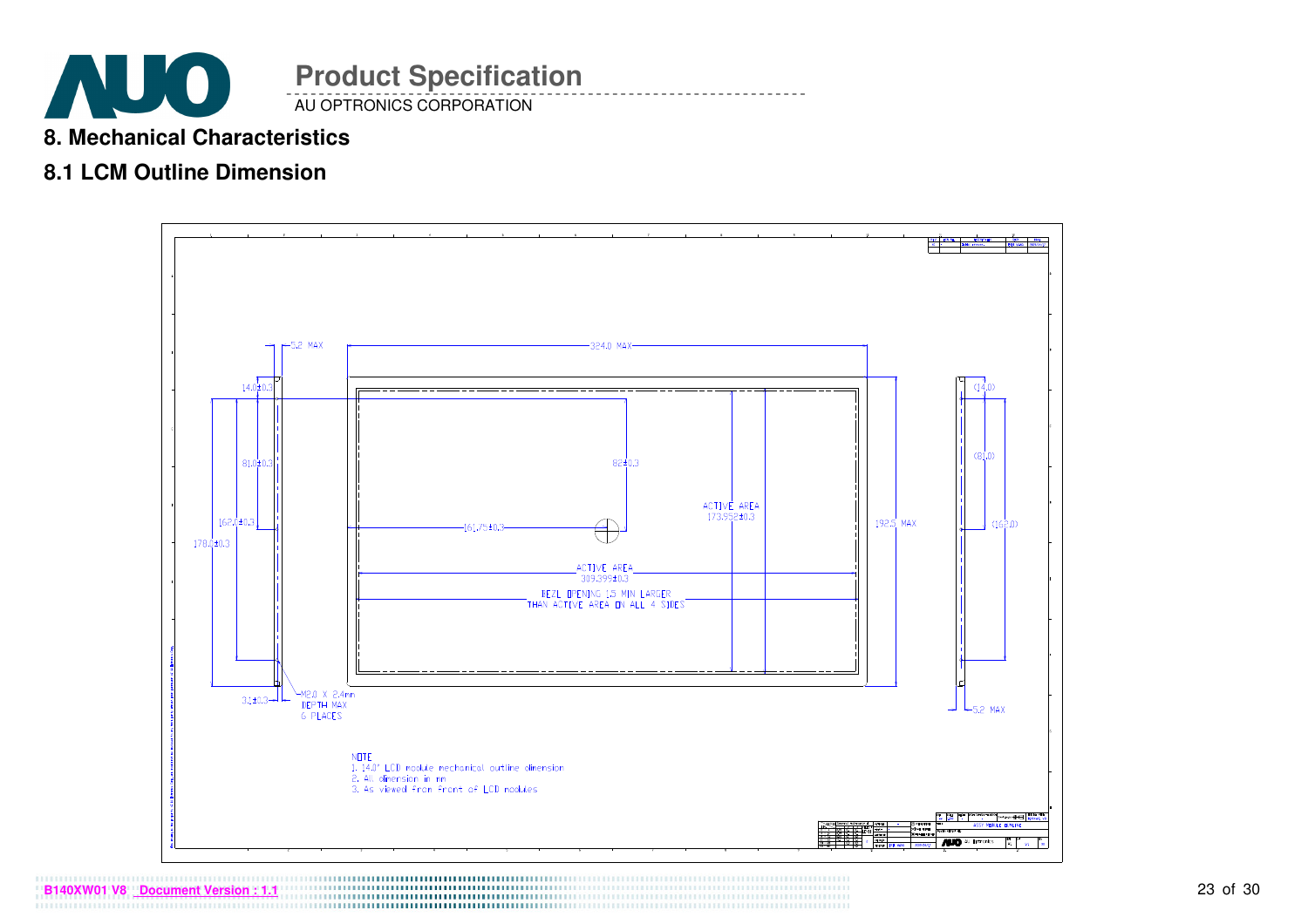![](_page_22_Picture_0.jpeg)

### **8. Mechanical Characteristics**

## **8.1 LCM Outline Dimension**

![](_page_22_Figure_3.jpeg)

23 of 30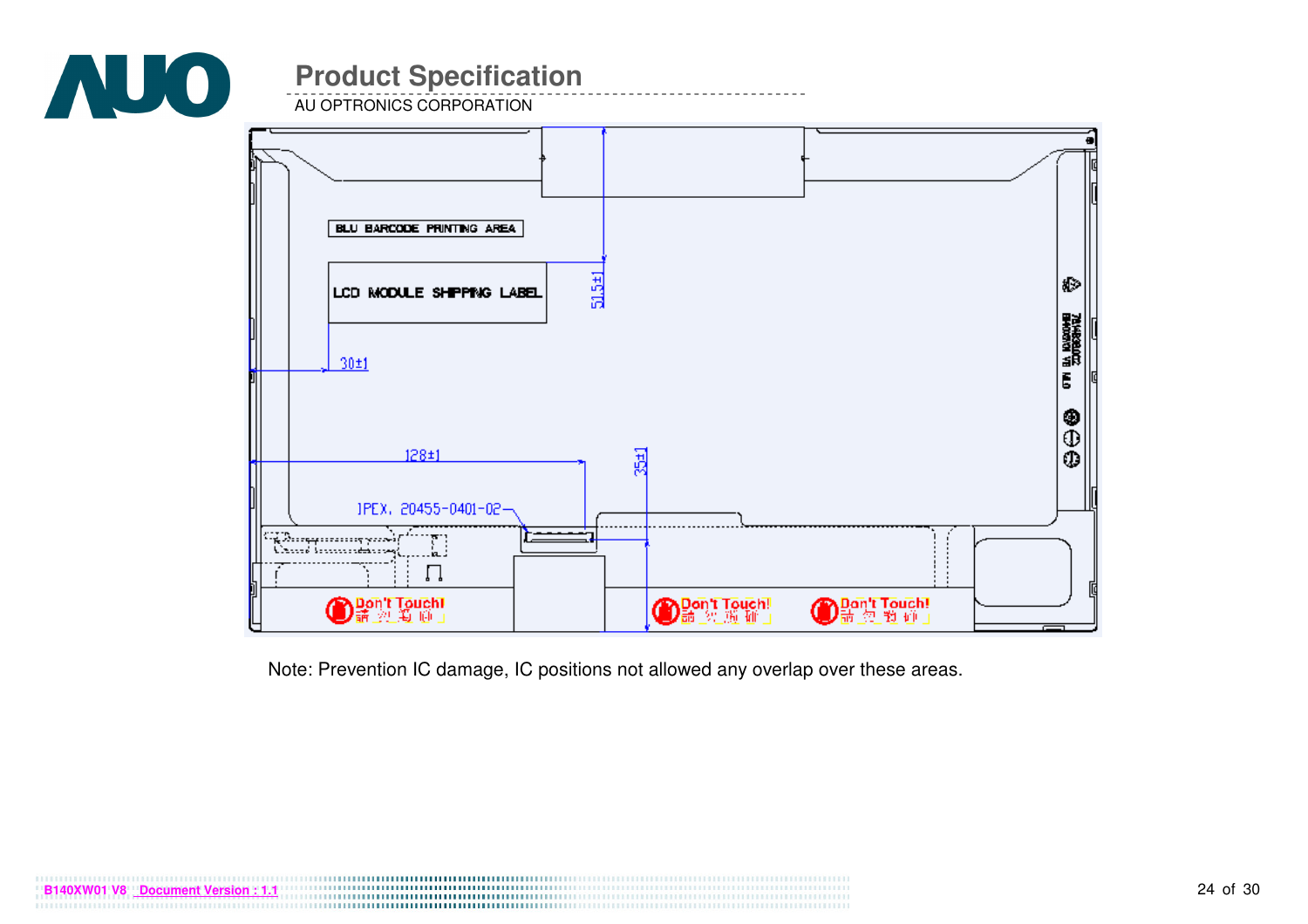![](_page_23_Picture_0.jpeg)

AU OPTRONICS CORPORATION

![](_page_23_Figure_3.jpeg)

Note: Prevention IC damage, IC positions not allowed any overlap over these areas.

![](_page_23_Picture_5.jpeg)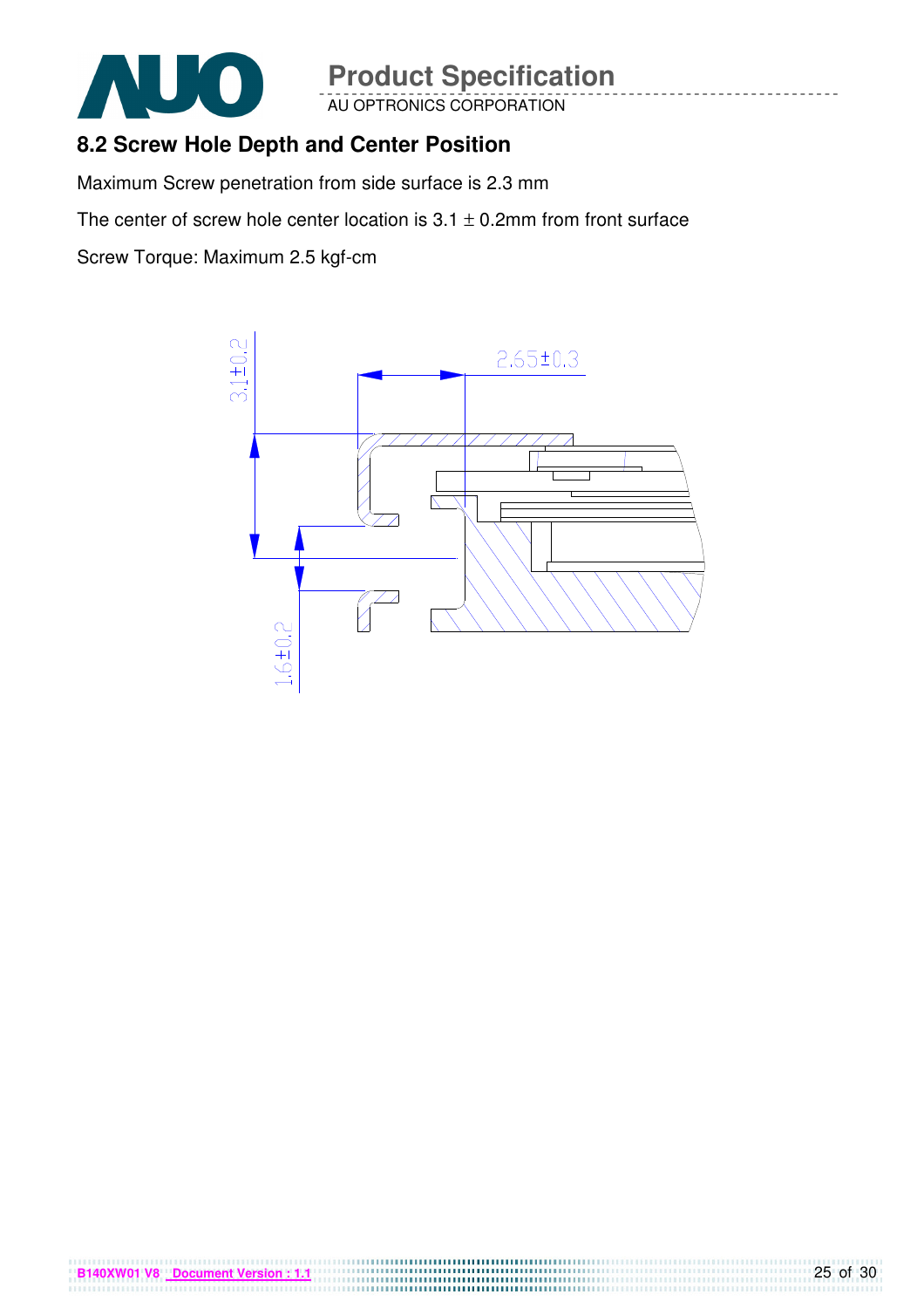![](_page_24_Picture_0.jpeg)

AU OPTRONICS CORPORATION

# **8.2 Screw Hole Depth and Center Position**

Maximum Screw penetration from side surface is 2.3 mm

The center of screw hole center location is  $3.1 \pm 0.2$ mm from front surface

Screw Torque: Maximum 2.5 kgf-cm

**B140XW01 V8 Document Version : 1.1**

![](_page_24_Figure_7.jpeg)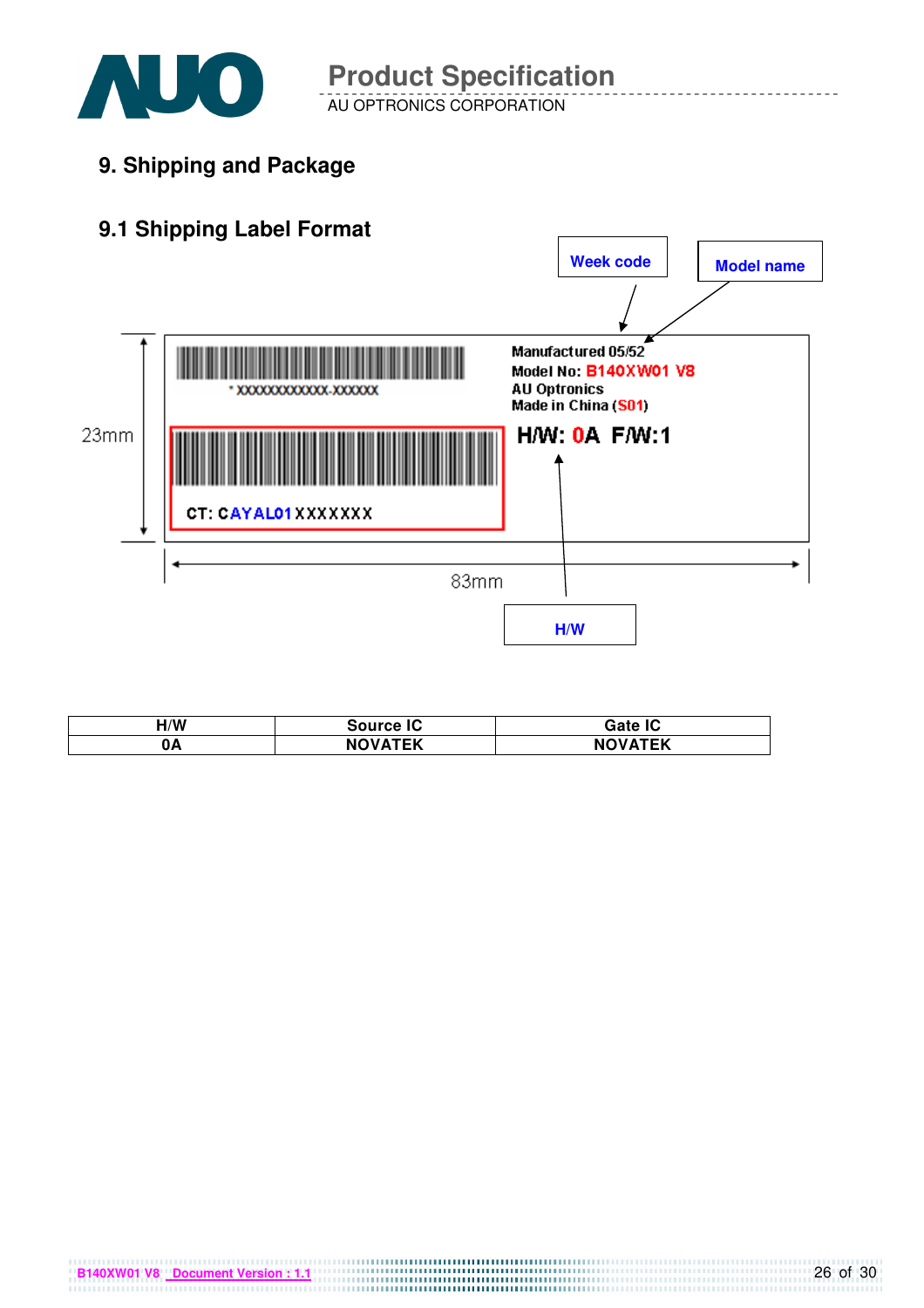![](_page_25_Picture_0.jpeg)

AU OPTRONICS CORPORATION **Product Specification** 

**9. Shipping and Package**

# **9.1 Shipping Label Format**

![](_page_25_Figure_5.jpeg)

| 1/W | <b>Source IC</b>      | Gate IC                   |
|-----|-----------------------|---------------------------|
| 0A  | TEK <b>TER</b><br>NO. | <b>VATEK</b><br><b>NC</b> |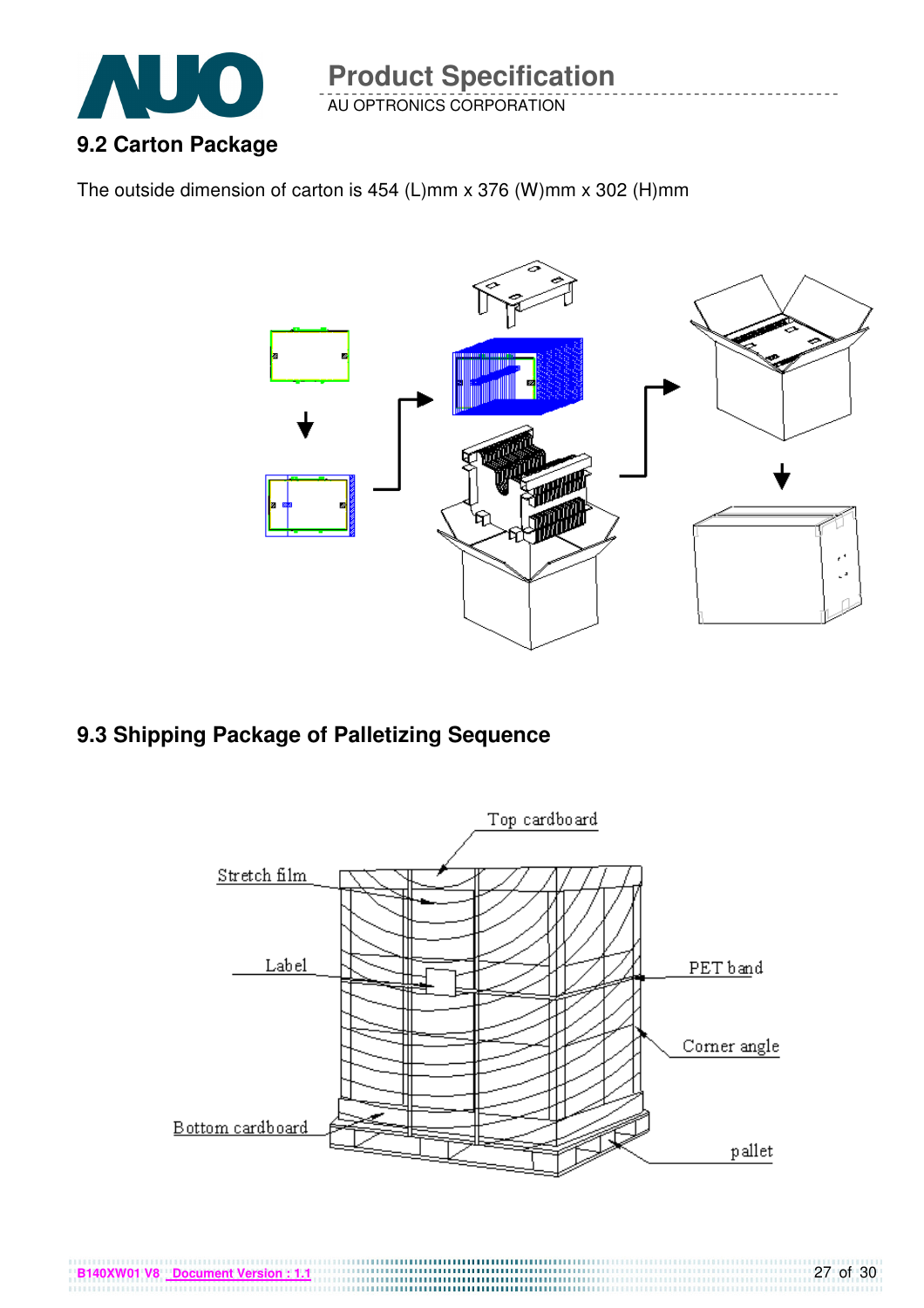![](_page_26_Picture_0.jpeg)

AU OPTRONICS CORPORATION

The outside dimension of carton is 454 (L)mm x 376 (W)mm x 302 (H)mm

![](_page_26_Figure_4.jpeg)

## **9.3 Shipping Package of Palletizing Sequence**

**B140XW01 V8 Document Version : 1.1**

![](_page_26_Figure_6.jpeg)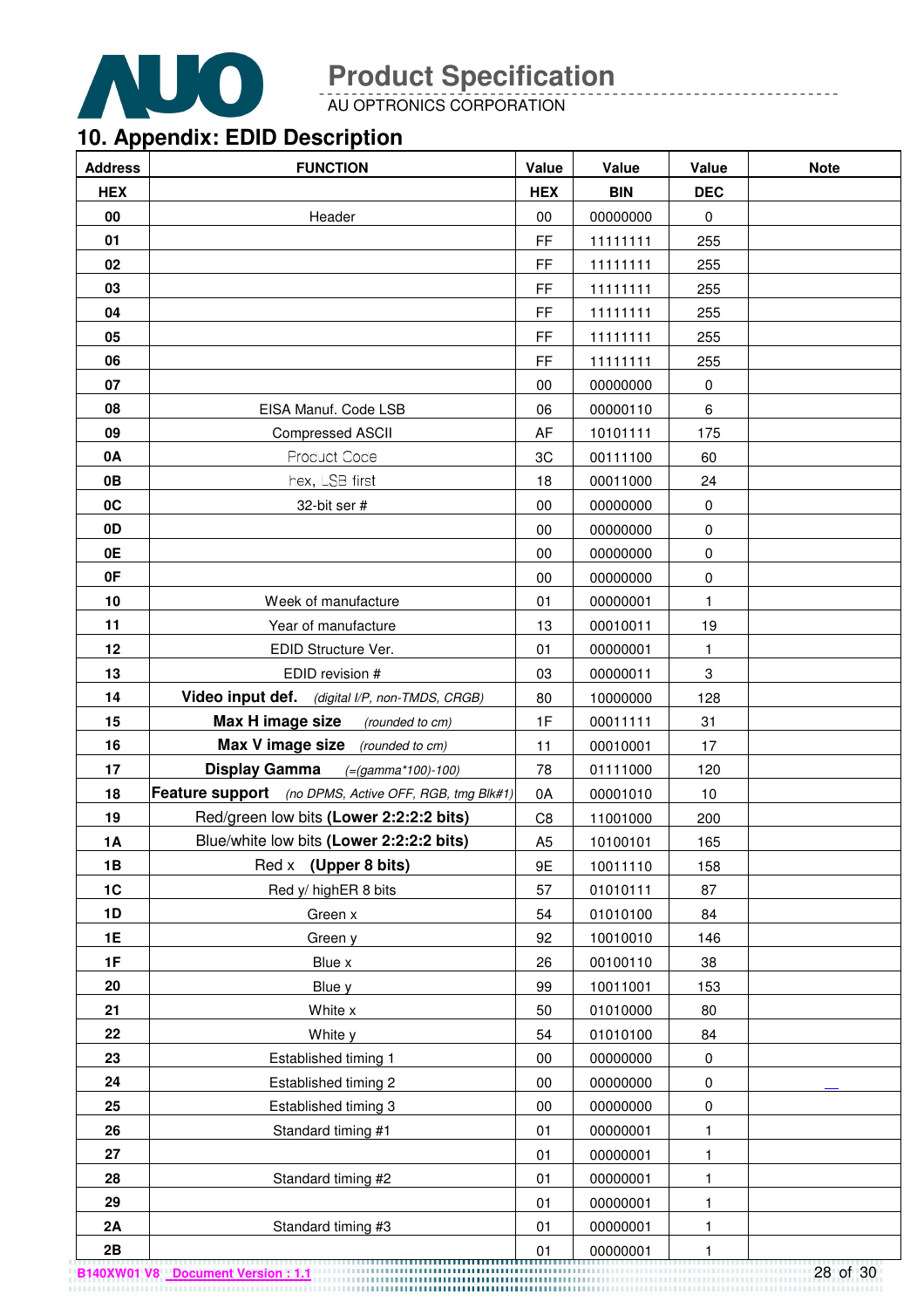![](_page_27_Picture_0.jpeg)

AU OPTRONICS CORPORATION

# **10. Appendix: EDID Description**

| <b>Address</b> | <b>FUNCTION</b>                                       | Value          | Value      | Value                     | <b>Note</b> |
|----------------|-------------------------------------------------------|----------------|------------|---------------------------|-------------|
| <b>HEX</b>     |                                                       | <b>HEX</b>     | <b>BIN</b> | <b>DEC</b>                |             |
| 00             | Header                                                | $00\,$         | 00000000   | $\mathbf 0$               |             |
| 01             |                                                       | FF             | 11111111   | 255                       |             |
| 02             |                                                       | FF             | 11111111   | 255                       |             |
| 03             |                                                       | FF             | 11111111   | 255                       |             |
| 04             |                                                       | FF             | 11111111   | 255                       |             |
| 05             |                                                       | FF             | 11111111   | 255                       |             |
| 06             |                                                       | FF             | 11111111   | 255                       |             |
| 07             |                                                       | 00             | 00000000   | $\boldsymbol{0}$          |             |
| 08             | EISA Manuf. Code LSB                                  | 06             | 00000110   | 6                         |             |
| 09             | <b>Compressed ASCII</b>                               | AF             | 10101111   | 175                       |             |
| 0A             | Product Code                                          | 3C             | 00111100   | 60                        |             |
| 0B             | hex, LSB first                                        | 18             | 00011000   | 24                        |             |
| 0C             | 32-bit ser #                                          | 00             | 00000000   | 0                         |             |
| 0D             |                                                       | $00\,$         | 00000000   | $\mathbf 0$               |             |
| 0E             |                                                       | 00             | 00000000   | 0                         |             |
| 0F             |                                                       | 00             | 00000000   | $\mathbf 0$               |             |
| 10             | Week of manufacture                                   | 01             | 00000001   | $\mathbf{1}$              |             |
| 11             | Year of manufacture                                   | 13             | 00010011   | 19                        |             |
| 12             | EDID Structure Ver.                                   | 01             | 00000001   | $\mathbf{1}$              |             |
| 13             | EDID revision #                                       | 03             | 00000011   | $\ensuremath{\mathsf{3}}$ |             |
| 14             | Video input def. (digital I/P, non-TMDS, CRGB)        | 80             | 10000000   | 128                       |             |
| 15             | Max H image size<br>(rounded to cm)                   | 1F             | 00011111   | 31                        |             |
| 16             | Max V image size (rounded to cm)                      | 11             | 00010001   | 17                        |             |
| 17             | <b>Display Gamma</b><br>$(=(gamma*100)-100)$          | 78             | 01111000   | 120                       |             |
| 18             | Feature support (no DPMS, Active OFF, RGB, tmg Blk#1) | 0A             | 00001010   | 10                        |             |
| 19             | Red/green low bits (Lower 2:2:2:2 bits)               | C <sub>8</sub> | 11001000   | 200                       |             |
| <b>1A</b>      | Blue/white low bits (Lower 2:2:2:2 bits)              | A <sub>5</sub> | 10100101   | 165                       |             |
| 1B             | Red x (Upper 8 bits)                                  | 9E             | 10011110   | 158                       |             |
| 1C             | Red y/ highER 8 bits                                  | 57             | 01010111   | 87                        |             |
| 1D             | Green x                                               | 54             | 01010100   | 84                        |             |
| 1E             | Green y                                               | 92             | 10010010   | 146                       |             |
| 1F             | Blue x                                                | 26             | 00100110   | 38                        |             |
| 20             | Blue y                                                | 99             | 10011001   | 153                       |             |
| 21             | White x                                               | 50             | 01010000   | 80                        |             |
| 22             | White y                                               | 54             | 01010100   | 84                        |             |
| 23             | Established timing 1                                  | $00\,$         | 00000000   | $\boldsymbol{0}$          |             |
| 24             | Established timing 2                                  | $00\,$         | 00000000   | 0                         |             |
| 25             | Established timing 3                                  | $00\,$         | 00000000   | 0                         |             |
| 26             | Standard timing #1                                    | 01             | 00000001   | 1                         |             |
| 27             |                                                       | 01             | 00000001   | $\mathbf{1}$              |             |
| 28             | Standard timing #2                                    | 01             | 00000001   | 1                         |             |
| 29             |                                                       | 01             | 00000001   | 1                         |             |
| 2A             | Standard timing #3                                    | 01             | 00000001   | 1                         |             |
| 2B             |                                                       | 01             | 00000001   | 1                         |             |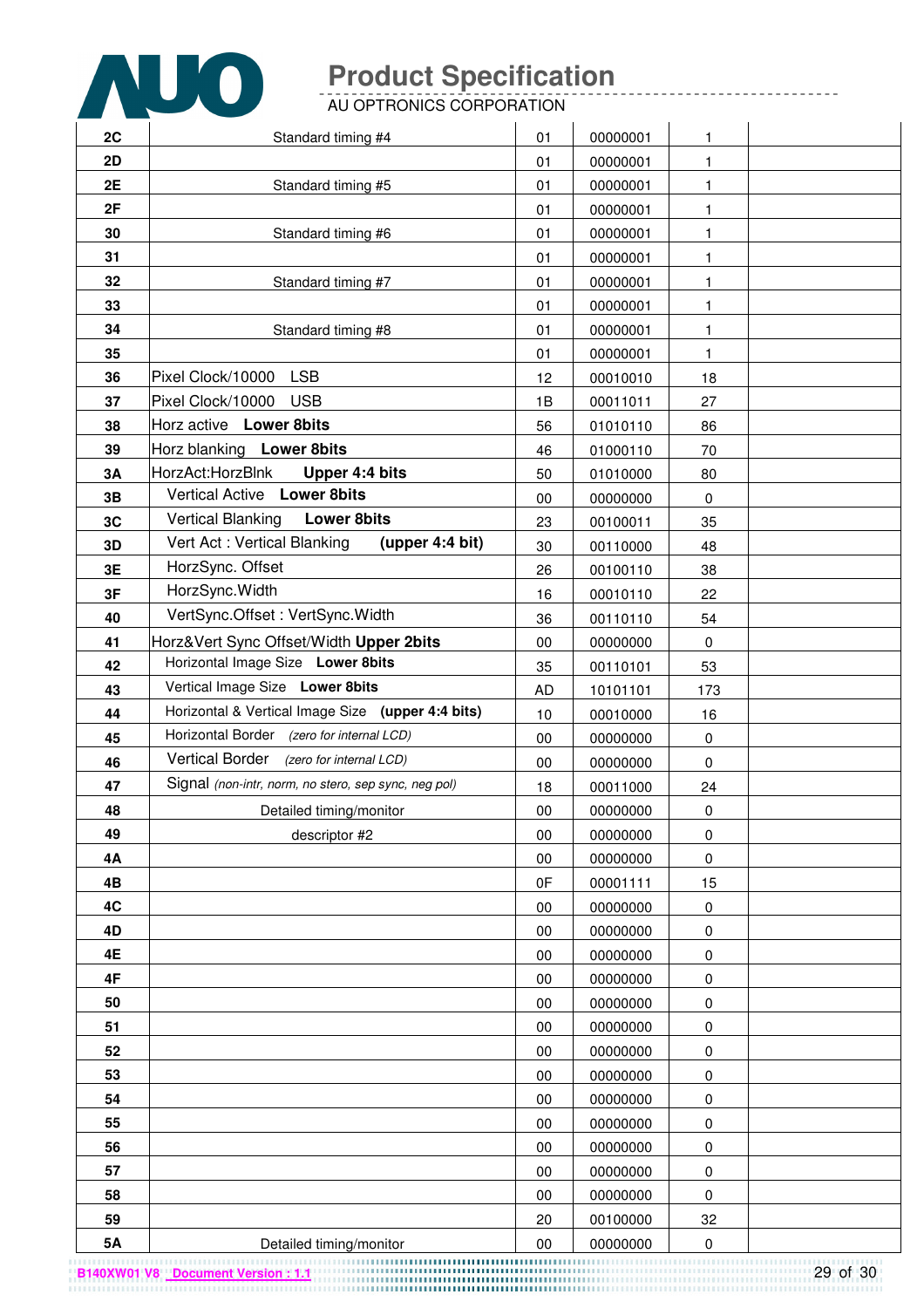![](_page_28_Picture_0.jpeg)

AU OPTRONICS CORPORATION

| 2C       | Standard timing #4                                                       | 01              | 00000001             | 1            |  |
|----------|--------------------------------------------------------------------------|-----------------|----------------------|--------------|--|
| 2D       |                                                                          | 01              | 00000001             | $\mathbf{1}$ |  |
| 2E       | Standard timing #5                                                       | 01              | 00000001             | 1            |  |
| 2F       |                                                                          | 01              | 00000001             | 1            |  |
| 30       | Standard timing #6                                                       | 01              | 00000001             | 1            |  |
| 31       |                                                                          | 01              | 00000001             | 1            |  |
| 32       | Standard timing #7                                                       | 01              | 00000001             | 1            |  |
| 33       |                                                                          | 01              | 00000001             | $\mathbf{1}$ |  |
| 34       | Standard timing #8                                                       | 01              | 00000001             | 1            |  |
| 35       |                                                                          | 01              | 00000001             | $\mathbf{1}$ |  |
| 36       | <b>LSB</b><br>Pixel Clock/10000                                          | 12              | 00010010             | 18           |  |
| 37       | Pixel Clock/10000<br><b>USB</b>                                          | 1B              | 00011011             | 27           |  |
| 38       | Horz active Lower 8bits                                                  | 56              | 01010110             | 86           |  |
| 39       | Horz blanking Lower 8bits                                                | 46              | 01000110             | 70           |  |
| 3A       | HorzAct:HorzBlnk<br>Upper 4:4 bits<br>Vertical Active Lower 8bits        | 50              | 01010000             | 80           |  |
| 3B       | <b>Vertical Blanking</b><br><b>Lower 8bits</b>                           | 00              | 00000000             | 0            |  |
| 3C       | Vert Act: Vertical Blanking<br>(upper 4:4 bit)                           | 23              | 00100011             | 35           |  |
| 3D       | HorzSync. Offset                                                         | 30              | 00110000             | 48           |  |
| 3E       | HorzSync.Width                                                           | 26              | 00100110             | 38           |  |
| 3F       | VertSync.Offset: VertSync.Width                                          | 16              | 00010110             | 22           |  |
| 40       |                                                                          | 36              | 00110110             | 54           |  |
| 41       | Horz‖ Sync Offset/Width Upper 2bits<br>Horizontal Image Size Lower 8bits | $00\,$          | 00000000             | $\pmb{0}$    |  |
| 42<br>43 | Vertical Image Size Lower 8bits                                          | 35<br><b>AD</b> | 00110101             | 53           |  |
| 44       | Horizontal & Vertical Image Size (upper 4:4 bits)                        | 10              | 10101101<br>00010000 | 173<br>16    |  |
| 45       | Horizontal Border (zero for internal LCD)                                | 00              | 00000000             | $\pmb{0}$    |  |
| 46       | Vertical Border (zero for internal LCD)                                  | 00              | 00000000             | 0            |  |
| 47       | Signal (non-intr, norm, no stero, sep sync, neg pol)                     | 18              | 00011000             | 24           |  |
| 48       | Detailed timing/monitor                                                  | 00              | 00000000             | 0            |  |
| 49       | descriptor #2                                                            | 00              | 00000000             | $\pmb{0}$    |  |
| 4Α       |                                                                          | 00              | 00000000             | $\pmb{0}$    |  |
| 4B       |                                                                          | 0F              | 00001111             | 15           |  |
| 4C       |                                                                          | 00              | 00000000             | $\pmb{0}$    |  |
| 4D       |                                                                          | 00              | 00000000             | 0            |  |
| 4E       |                                                                          | 00              | 00000000             | $\pmb{0}$    |  |
| 4F       |                                                                          | 00              | 00000000             | $\pmb{0}$    |  |
| 50       |                                                                          | 00              | 00000000             | $\pmb{0}$    |  |
| 51       |                                                                          | 00              | 00000000             | 0            |  |
| 52       |                                                                          | 00              | 00000000             | 0            |  |
| 53       |                                                                          | 00              | 00000000             | 0            |  |
| 54       |                                                                          | 00              | 00000000             | 0            |  |
| 55       |                                                                          | 00              | 00000000             | 0            |  |
| 56       |                                                                          | 00              | 00000000             | $\pmb{0}$    |  |
| 57       |                                                                          | 00              | 00000000             | 0            |  |
| 58       |                                                                          | 00              | 00000000             | 0            |  |
| 59       |                                                                          | 20              | 00100000             | 32           |  |
| 5A       | Detailed timing/monitor                                                  | $00\,$          | 00000000             | $\pmb{0}$    |  |